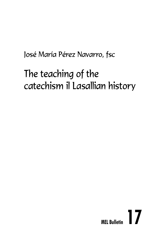José María Pérez Navarro, fsc

# The teaching of the catechism il Lasallian history

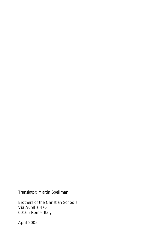Translator: Martin Spellman

Brothers of the Christian Schools Via Aurelia 476 00165 Rome, Italy

April 2005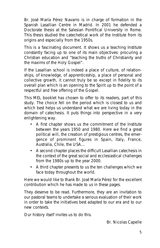Br. José María Pérez Navarro is in charge of formation in the Spanish Lasallian Centre in Madrid. In 2001 he defended a Doctorate thesis at the Salesian Pontifical University in Rome. This thesis studied the catechetical work of the Institute from its origins and especially from the 1950s.

This is a fascinating document. It shows us a teaching Institute constantly facing up to one of its main objectives: procuring a Christian education and "teaching the truths of Christianity and the maxims of the Holy Gospel".

If the Lasallian school is indeed a place of culture, of relationships, of knowledge, of apprenticeship, a place of personal and collective growth, it cannot truly be so except in fidelity to its overall plan which is an opening to the Spirit up to the point of a respectful and free offering of the Gospel.

This MEL booklet has chosen to offer to its readers, part of this study. The choice fell on the period which is closest to us and which best helps us understand what we are living today in the domain of catechesis. It puts things into perspective in a very enlightening way.

- A first chapter shows us the commitment of the Institute between the years 1950 and 1980. Here we find a great political will, the creation of prestigious centres, the emergence of prominent figures in Spain, Italy, France, Australia, Chile, the USA…
- A second chapter places the difficult Lasallian catechesis in the context of the great social and ecclesiastical challenges from the 1980s up to the year 2000.
- A third chapter presents to us the ten challenges which we face today throughout the world.

Here we would like to thank Br. José María Pérez for the excellent contribution which he has made to us in these pages.

They deserve to be read. Furthermore, they are an invitation to our pastoral teams to undertake a serious evaluation of their work in order to take the initiatives best adapted to our era and to our new contexts.

Our history itself invites us to do this.

Br. Nicolas Capelle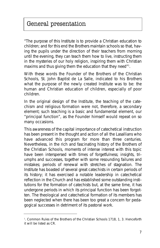# General presentation

"The purpose of this Institute is to provide a Christian education to children; and for this end the Brothers maintain schools so that, having the pupils under the direction of their teachers from morning until the evening, they can teach them how to live, instructing them in the mysteries of our holy religion, inspiring them with Christian maxims and thus giving them the education that they need"<sup>1</sup>.

With these words the Founder of the Brothers of the Christian Schools, St. John Baptist de La Salle, indicated to his Brothers what the purpose of the newly created Institute was to be: the human and Christian education of children, especially of poor children.

In the original design of the Institute, the teaching of the catechism and religious formation were not, therefore, a secondary element; such teaching is a basic and fundamental element, our "principal function", as the Founder himself would repeat on so many occasions.

This awareness of the capital importance of catechetical instruction has been present in the thought and action of all the Lasallians who have advanced this program for more than three centuries. Nevertheless, in the rich and fascinating history of the Brothers of the Christian Schools, moments of intense interest with this topic have been interspersed with times of forgetfulness; insights, triumphs and successes, together with some resounding failures and mistakes; periods of renewal with stretches of stagnation. The Institute has boasted of several great catechists in certain periods of its history; it has exercised a notable leadership in catechetical reflection in the Church and has established some outstanding institutions for the formation of catechists but, at the same time, it has undergone periods in which its principal function has been forgotten. The theological and catechetical formation of its members has been neglected when there has been too great a concern for pedagogical successes in detriment of its pastoral work.

<sup>1</sup> . Common Rules of the Brothers of the Christian Schools 1718, 1, 3. Henceforth it will be listed as CR.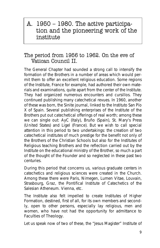# A. 1950 – 1980. The active participation and the pioneering work of the institute

# The period from 1956 to 1962. On the eve of Vatican Council II.

The General Chapter had sounded a strong call to intensify the formation of the Brothers in a number of areas which would permit them to offer an excellent religious education. Some regions of the Institute, France for example, had authored their own materials and examinations, quite apart from the center of the Institute. They had organized numerous encounters and cursillos. They continued publishing many catechetical revues. In 1960, another of these was born, the *Sinite* journal, linked to the *Instituto San Pío X* of Spain. Several publishing enterprises of the Institute of the Brothers put out catechetical offerings of real worth; among these we can single out: AyC (Italy), Bruño (Spain), St. Mary's Press (United States) and Ligel (France). But we wish to call special attention in this period to two undertakings: the creation of two catechetical institutes of much prestige for the benefit not only of the Brothers of the Christian Schools but also for the Institutes of Religious teaching Brothers and the reflection carried out by the Institute on the educational ministry of the Brother, so much a part of the thought of the Founder and so neglected in these past two centuries.

During this period that concerns us, various graduate centers in catechetics and religious sciences were created in the Church. Among these there were Paris, Nimegen, Lumen Vitae, Louvain, Strasbourg, Graz, the Pontifical Institute of Catechetics of the Salesian Atheneum. Vienna, etc.

The Institute also felt impelled to create Institutes of Higher Formation, destined, first of all, for its own members and secondly, open to other persons, especially lay religious, men and women, who have not had the opportunity for admittance to Faculties of Theology.

Let us speak now of two of these, the "Jesus Magister" Institute of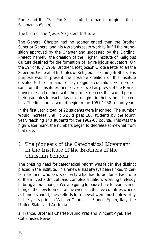Rome and the "San Pío X" Institute that had its original site in Salamanca (Spain).

#### **The birth of the "Jesus Magister" Institute**

The General Chapter had no sooner ended than the Brother Superior General and his Assistants set to work to fulfill the proposition approved by the Chapter and suggested by the Cardinal Prefect, namely, the creation of the Higher Institute of Religious Culture destined for the formation of lay religious educators. On the 19<sup>th</sup> of July, 1956, Brother Nicet Joseph wrote a letter to all the Superiors General of Institutes of Religious Teaching Brothers. His purpose was to present the possible creation of this Institute devoted to the formation of lay religious educators, with professors from the Institutes themselves as well as priests of the Roman universities, all of them with the proper degrees that would permit their graduates to teach classes of religion in their scholastic centers. The first course would begin in the 1957-1958 school year.

In the first year a total of 22 students were inscribed. The number would increase until it would pass 100 students by the fourth year, reaching 140 students for the 1962-63 course. This was the high water mark; the numbers began to decrease somewhat from that date.

## 1. The pioneers of the Catechetical Movement in the Institute of the Brothers of the Christian Schools

The pressing need for catechetical reform was felt in five distinct places in the Institute. This renewal has always been linked to certain Brothers who saw so clearly what had to be done. Each one of them lived a difficult and complex situation, working tirelessly to bring about change. We are going to pause here to learn something of the development of the events in the five countries where, as I understand it, these efforts for renewal were most noteworthy in the years prior to Vatican Council II: France, Spain, Italy, the United States and Australia.

#### **a. France. Brothers Charles-Bruno Prat and Vincent Ayel. The Catéchistes Revue.**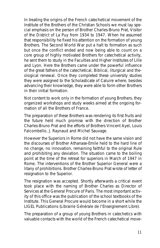In treating the origins of the French catechetical movement of the Institute of the Brothers of the Christian Schools we must lay special emphasis on the person of Brother Charles-Bruno Prat, Visitor of the District of La Puy from 1934 to 1947. When he assumed that responsibility he fixed his attention on the formation of young Brothers. The Second World War put a halt to formation as such but once the conflict ended and now being able to count on a core group of highly motivated Brothers for catechetical activity, he sent them to study in the Faculties and Higher Institutes of Lille and Lyon. Here the Brothers came under the powerful influence of the great fathers of the catechetical, Biblical, liturgical and theological renewal. Once they completed these university studies they were assigned to the Scholasticate of Caluire where, besides advancing their knowledge, they were able to form other Brothers in their initial formation.

Not content to work only in the formation of young Brothers, they organized workshops and study weeks aimed at the ongoing formation of all the Brothers of France.

The preparation of these Brothers was rendering its first fruits and the future held much promise with the direction of Brother Charles-Bruno Prat and the efforts of Brothers Vincent Ayel, Louis Falcombello, J. Raynaud and Michel Sauvage.

However the Superiors in Rome did not have the same vision and the discourses of Brother Athanase-Emile held to the hard line of no change, no innovation, remaining faithful to the original Rule and prohibiting any deviation. The situation came to the boiling point at the time of the retreat for superiors in March of 1947 in Rome. The interventions of the Brother Superior General were a litany of prohibitions. Brother Charles-Bruno Prat wrote of letter of resignation to the Superior.

The resignation was accepted. Shortly afterwards a critical event took place with the naming of Brother Charles as Director of Services at the General Procure of Paris. The most important activity of this office was the publication of the school textbooks of the Institute. This General Procure would become in a short while the LIGEL Publications (*Librairie Générale de l'Enseignement Libre*).

The preparation of a group of young Brothers in catechetics with valuable contacts with the world of the French catechetical move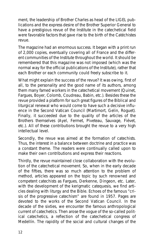ment, the leadership of Brother Charles as head of the LIGEL publications and the express desire of the Brother Superior General to have a prestigious revue of the Institute in the catechetical field were favorable factors that gave rise to the birth of the *Catéchistes* revue.

The magazine had an enormous success. It began with a print run of 2,000 copies, eventually covering all of France and the different communities of the Institute throughout the world. It should be remembered that this magazine was not imposed (which was the normal way for the official publications of the Institute), rather that each Brother or each community could freely subscribe to it.

What might explain the success of the revue? It was owing, first of all, to the personality and the good name of its authors, among them many famed workers in the catechetical movement (Quinet, Fargues, Boyer, Colomb, Coudreau, Babin, etc.). Besides these the revue provided a platform for such great figures of the Biblical and liturgical renewal who would come to have such a decisive influence in the Second Vatican Council (Martimort, Gelin, Roguet). Finally, it succeeded due to the quality of the articles of the Brothers themselves (Ayel, Fermet, Piveteau, Sauvage, Fiévet, etc.). All of these contributions brought the revue to a very high intellectual level.

Secondly, the revue was aimed at the formation of catechists. Thus, the interest in a balance between doctrine and practice was a constant theme. The readers were continually called upon to make their own contributions and express their reactions.

Thirdly, the revue maintained close collaboration with the evolution of the catechetical movement. So, when in the early decade of the fifties, there was so much attention to the problem of method, articles appeared on the topic by such renowned and competent catechists as Fargues, Derkenne, Dingeon, etc. Later, with the development of the kerigmatic catequesis, we find articles dealing with liturgy and the Bible. Echoes of the famous "crisis of the progressive catechism" are found in 1957. Pages are devoted to the works of the Second Vatican Council. In the decade of the sixties, we encounter the famous anthropological current of catechetics. Then arose the vogue of the so-called political catechetics, a reflection of the catechetical congress of Medellín. The rapidity of the social and cultural changes of the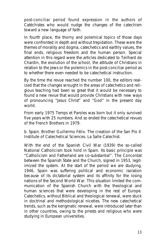post-conciliar period found expression in the authors of *Catéchistes* who would nudge the changes of the catechism toward a new language of faith.

In fourth place, the thorny and polemical topics of those days were confronted in depth and without trepidation. These were the themes of morality and dogma, catechetics and earthly values, the final ends, religious freedom and the human person. Special attention in this regard were the articles dedicated to Teilhard de Chardin, the evolution of the school, the attitude of Christians in relation to the Jews or the polemics in the post-conciliar period as to whether there even needed to be catechetical instruction.

By the time the revue reached the number 100, the editors realized that the changes wrought in the areas of catechetics and religious teaching had been so great that it would be necessary to found a new revue that would provide Christians with new ways of pronouncing "Jesus Christ" and "God" in the present day world.

From early 1975 *Temps et Paroles* was born but it only survived five years with 25 numbers. And so ended the catechetical revues of the French Brothers in 1979.

#### **b. Spain. Brother Guillermo Félix. The creation of the San Pío X Institute of Catechetical Sciences. La Salle Catechist.**

With the end of the Spanish Civil War (1939) the so-called National Catholicism took hold in Spain. Its basic principle was "Catholicism and Fatherland are co-substantial". The Concordat between the Spanish State and the Church, signed in 1953, legitimized the system. At the start of the period we are studying, 1946, Spain was suffering political and economic isolation because of its dictatorial system and its affinity for the losing nations of the Second World War. This situation limited the communication of the Spanish Church with the theological and human sciences that were developing in the rest of Europe. Catechetics, without Biblical and theological renewal, were stuck in doctrinal and methodological niceties. The new catechetical trends, such as the kerigmatic renewal, were introduced later than in other countries, owing to the priests and religious who were studying in European universities.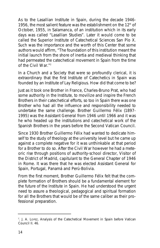As to the Lasallian Institute in Spain, during the decade 1946- 1956, the most salient feature was the establishment on the 12<sup>th</sup> of October, 1955, in Salamanca, of an institution which in its early days was called "Lasallian Studies". Later it would come to be called the Superior Institute of Catechetical Sciences San Pío X. Such was the importance and the worth of this Center that some authors would affirm, "The foundation of this institution meant the initial launch from the shore of inertia and medieval thinking that had permeated the catechetical movement in Spain from the time of the Civil War<sup>"2</sup>

In a Church and a Society that were so profoundly clerical, it is extraordinary that the first Institute of Catechetics in Spain was founded by an Institute of Lay Religious. How did that come to be?

Just as it took one Brother in France, Charles-Bruno Prat, who had some authority in the Institute, to movilize and inspire the French Brothers in their catechetical efforts, so too in Spain there was one Brother who had all the influence and responsibility needed to undertake the same challenge. Brother Guillermo Félix (1897- 1995) was the Assistant General from 1946 until 1966 and it was he who headed up the institutions and catechetical work of the Spanish Brothers in the years before the Second Vatican Council.

Since 1930 Brother Guillermo Félix had wanted to dedicate himself to the study of theology at the university level but he came up against a complete negative for it was unthinkable at that period for a Brother to do so. After the Civil War however he had a meteoric rise through positions of authority-school director, Visitor of the District of Madrid, capitulant to the General Chapter of 1946 in Rome. It was there that he was elected Assistant General for Spain, Portugal, Panamá and Perú-Bolivia.

From the first moment, Brother Guillermo Félix felt that the complete formation of Brothers should be a fundamental element for the future of the Institute in Spain. He had understood the urgent need to assure a theological, pedagogical and spiritual formation for all the Brothers that would be of the same caliber as their professional preparation.

<sup>2</sup> . J. A. LOPEZ, Analysis of the Catechetical Movement in Spain before Vatican Council II. 46.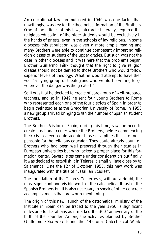An educational law, promulgated in 1940 was one factor that, unwittingly, was key for the theological formation of the Brothers. One of the articles of this law, interpreted literally, required that religious education of the older students would be exclusively in the hands of priests, even in the schools of lay religious. In some dioceses this stipulation was given a more ample reading and many Brothers were able to continue competently imparting religion classes to students of the upper grades. But such was not the case in other dioceses and it was here that the problems began. Brother Guillermo Félix thought that the right to give religion classes should not be denied to those Brothers who would follow superior levels of theology. What he would attempt to have then was "a flying group of theologians who would be willing to go wherever the danger was the greatest."

So it was that he decided to create of core group of well-prepared teachers, and so in 1949 he sent four young Brothers to Rome who represented each one of the four districts of Spain in order to begin their studies at the Gregorian University of Rome. In 1953 a new group arrived bringing to ten the number of Spanish student Brothers.

The Brothers Visitor of Spain, during this time, saw the need to create a national center where the Brothers, before commencing their civil career, could acquire those disciplines that are indispensable for the religious educator. They could already count on Brothers who had been well prepared through their studies in European universities but who lacked a proper place for this formation center. Several sites came under consideration but finally it was decided to establish it in Tejares, a small village close by to Salamanca. One the  $12<sup>th</sup>$  of October, 1955, this new work was inaugurated with the title of "Lasallian Studies".

The foundation of the Tejares Center was, without a doubt, the most significant and visible work of the catechetical thrust of the Spanish Brothers but it is also necessary to speak of other concrete accomplishments that are worth mentioning.

The origin of this new launch of the catechetical ministry of the Institute in Spain can be traced to the year 1950, a significant milestone for Lasallians as it marked the 300<sup>th</sup> anniversary of the birth of the Founder. Among the activities planned by Brother Guillermo Félix were found the "National Catechetical Work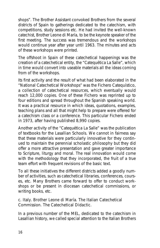shops". The Brother Assistant convoked Brothers from the several districts of Spain to gatherings dedicated to the catechism, with competitions, study sessions etc. He had invited the well-known catechist, Brother Leone di María, to be the keynote speaker of the first meeting. The success was tremendous and the workshops would continue year after year until 1963. The minutes and acts of these workshops were printed.

The offshoot in Spain of these catechetical happenings was the creation of a catechetical entity, the "Catequética La Salle", which in time would convert into useable materials all the ideas coming from of the workshops.

Its first activity and the result of what had been elaborated in the "National Catechetical Workshops" was the *Fichero Catequístico*, a collection of catechetical resources, which eventually would reach 12,000 copies. One of these *Fichero* was reprinted up to four editions and spread throughout the Spanish speaking world. It was a practical resource in which ideas, quotations, examples, teaching plans and all that might help to prepare were offered for a catechism class or a conference. This particular *Fichero* ended in 1973, after having published 8,990 copies.

Another activity of the "Catequética La Salle" was the publication of textbooks for the Lasallian Schools. We cannot in fairness say that these materials were particularly innovative for they continued to maintain the perennial scholastic philosophy but they did offer a more attractive presentation and gave greater importance to Scripture, liturgy and moral. The real innovation would come with the methodology that they incorporated, the fruit of a true team effort with frequent revisions of the basic text.

To all these initiatives the different districts added a goodly number of activities, such as catechetical libraries, conferences, courses, etc. Many Brothers came forward to offer to conduct workshops or be present in diocesan catechetical commissions, or writing books, etc.

#### **c. Italy. Brother Leone di María. The Italian Catechetical Commission. The Catechetical Didactic.**

In a previous number of the MEL, dedicated to the catechism in Lasallian history, we called special attention to the Italian Brothers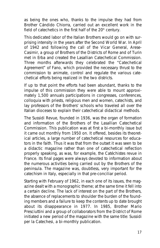as being the ones who, thanks to the impulse they had from Brother Cándido Chiorra, carried out an excellent work in the field of catechetics in the first half of the  $20<sup>th</sup>$  century.

This dedicated labor of the Italian Brothers would go on with surprising intensity in the years after the Second World War. In April of 1942 and following the call of the Vicar General, Arese-Casimir, a group of Brothers of the Districts of Rome and of Turin met in Erba and created the Lasallian Catechetical Commission. Three months afterwards they celebrated the "Catechetical Agreement" of Fano, which provided the necessary thrust to the commission to animate, control and regulate the various catechetical efforts being realized in the two districts.

If up to that point the efforts had been abundant, thanks to the impulse of this commission they were able to mount approximately 1,500 annuals participations in congresses, conferences, colloquia with priests, religious men and women, catechists, and lay professors of the Brothers' schools who traveled all over the Italian dioceses to explain their catechetical didactical methods.

The Sussidi Revue, founded in 1936, was the organ of formation and information of the Brothers of the Lasallian Catechetical Commission. This publication was at first a bi-monthly issue but it came out monthly from 1950 on. It offered, besides its theoretical articles, a large number of catechetical resources for educators in the faith. Thus it was that from the outset it was seen to be a didactic magazine rather than one of catechetical reflection properly speaking, as was, for example, the Catéchistes revue in France. Its final pages were always devoted to information about the numerous activities being carried out by the Brothers of the peninsula. The magazine was, doubtless, very important for the catechism in Italy, especially in that pre-conciliar period.

Starting with February of 1962, in each one of its issues, the magazine dealt with a monographic theme; at the same time it fell into a certain decline. The lack of interest on the part of the Brothers, the absence of replacements to shoulder the burden of the founding members and a failure to keep the contents up to date brought about its disappearance in 1977. In 1985, Brother Mario Presciuttini and a group of collaborators from the District of Rome initiated a new period of the magazine with the same title: *Sussidi per la Catechesi*, a bi-monthly publication.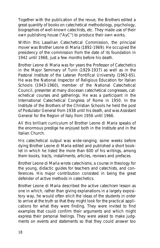Together with the publication of the revue, the Brothers edited a great quantity of books on catechetical methodology, psychology, biographies of well-known catechists, etc. They made use of their own publishing house ("AyC") to produce their own works.

Within this Lasallian Catechetical Commission, the principal mover was Brother Leone di Maria (1892-1969). He occupied the presidency of the commission from the date of its foundation in 1942 until 1968, just a few months before his death.

Brother Leone di Maria was for years the Professor of Catechetics in the Major Seminary of Turin (1929-1937) as well as in the Pastoral Institute of the Lateran Pontifical University (1963-65). He was the National Inspector of Religious Education for Italian Schools (1943-1960), member of the National Catechetical Council, presenter at many diocesan catechetical congresses, catechetical courses and gatherings. He was a participant in the International Catechetical Congress of Rome in 1950. In the Institute of the Brothers of the Christian Schools he held the post of Postulator General from 1938 until his death, and was Assistant General for the Region of Italy from 1956 until 1966.

All this brilliant curriculum of Brother Leone di Maria speaks of the enormous prestige he enjoyed both in the Institute and in the Italian Church.

His catechetical output was wide-ranging; some weeks before dying Brother Leone di Maria edited and published a short booklet in which he listed the more than 600 of his writings, among them books, tracts, installments, articles, reviews and prefaces.

Brother Leone di Maria wrote catechisms, a course in theology for the young, didactic guides for teachers and catechists, and conferences. His major contribution consisted in being the great defender of active methods in catechetics.

Brother Leone di Maria described the active catechism lesson as one in which, rather than giving explanations in a largely expository way, he would often elicit the ideas of the students in order to arrive at the truth so that they might look for the practical applications for what they were finding. They were invited to find examples that could confirm their arguments and which might express their personal feelings. They were asked to make judgments on events and statements so that they could answer too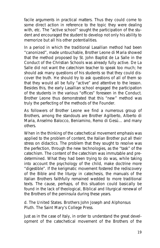facile arguments in practical matters. Thus they could come to some direct action in reference to the topic they were dealing with, etc. The "active school" sought the participation of the student and encouraged the student to develop not only his ability to memorize but all his other potentialities.

In a period in which the traditional Lasallian method had been "canonized", made untouchable, Brother Leone di Maria showed that the method proposed by St. John Baptist de La Salle in the *Conduct of the Christian Schools* was already fully active. De La Salle did not want the catechism teacher to speak too much; he should ask many questions of his students so that they could discover the truth. He should try to ask questions of all of them so that they would all be fully "active" and attentive to the lesson. Besides this, the early Lasallian school engaged the participation of the students in the various "offices" foreseen in the *Conduct*. Brother Leone thus demonstrated that this "new" method was truly the perfecting of the methods of the Founder.

As followers of Brother Leone we find a numerous group of Brothers, among the standouts are Brother Agilberto, Alberto di Maria, Anselmo Balocco, Beniamino, Remo di Gesú… and many others.

When in the thinking of the catechetical movement emphasis was applied to the problem of content, the Italian Brother put all their stress on didactics. The problem that they sought to resolve was the perfection, through the new technologies, as the "task" of the catechism. The content of the catechism was immutable and predetermined. What they had been trying to do was, while taking into account the psychology of the child, make doctrine more "digestible". If the kerigmatic movement fostered the rediscovery of the Bible and the liturgy in catechesis, the manuals of the Italian Brothers faithfully remained wedded to more traditional texts. The cause, perhaps, of this situation could basically be found in the lack of theological, Biblical and liturgical renewal of the Brothers of the peninsula during these years.

#### **d. The United States. Brothers John Joseph and Alphonsus Pluth. The Saint Mary's College Press.**

Just as in the case of Italy, in order to understand the great development of the catechetical movement of the Brothers of the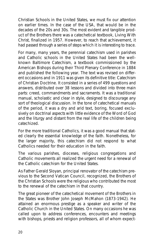Christian Schools in the United States, we must fix our attention on earlier times. In the case of the USA, that would be in the decades of the 20s and 30s. The most evident and tangible product of the Brothers there was a catechetical textbook, *Living With Christ*, finalized in 1957. However, to reach that achievement, it had passed through a series of steps which it is interesting to trace.

For many, many years, the perennial catechism used in parishes and Catholic schools in the United States had been the wellknown *Baltimore Catechism*, a textbook commissioned by the American Bishops during their Third Plenary Conference in 1884 and published the following year. The text was revised on different occasions and in 1911 was given its definitive title: *Catechism of Christian Doctrine*. It consisted in a series of 499 questions and answers, distributed over 38 lessons and divided into three main parts: creed, commandments and sacraments. It was a traditional manual, scholastic and clear in style, designed to discourage any sort of theological discussion. In the tone of catechetical manuals of the period, it was a dry and arid text, boring, focused exclusively on doctrinal aspects with little evidence of the Word of God and the liturgy and distant from the real life of the children being catechized.

For the more traditional Catholics, it was a good manual that stated clearly the essential knowledge of the faith. Nonetheless, for the larger majority, this catechism did not respond to what Catholics needed for their education in the faith.

The various parishes, dioceses, religious congregations and Catholic movements all realized the urgent need for a renewal of the Catholic catechism for the United States.

As Father Gerald Sloyan, principal renovator of the catechism previous to the Second Vatican Council, recognized, the Brothers of the Christian Schools were the religious who contributed the most to the renewal of the catechism in that country.

The great pioneer of the catechetical movement of the Brothers in the States was Brother John Joseph McMahon (1873-1942). He attained an enormous prestige as a speaker and writer of the Catholic Church in the United States. On many occasions he was called upon to address conferences, encounters and meetings with bishops, priests and religion professors, all of whom expect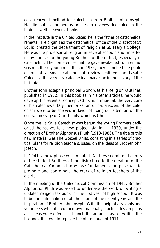ed a renewed method for catechism from Brother John Joseph. He did publish numerous articles in reviews dedicated to the topic as well as several books.

In the Institute in the United States, he is the father of catechetical renewal. He organized the catechetical office of the District of St. Louis, created the department of religion at St. Mary's College. He was the professor of religion in several schools and imparted many courses to the young Brothers of the district, especially in catechetics. The conferences that he gave awakened such enthusiasm in these young men that, in 1934, they launched the publication of a small catechetical review entitled the *Lasalle Catechist*, the very first catechetical magazine in the history of the Institute.

Brother John Joseph's principal work was his *Religion Outlines*, published in 1932. In this book as in his other articles, he would develop his essential concept: Christ is primordial, the very core of his catechesis. Dry memorization of pat answers of the catechism were to be shelved in favor of fixing our attention on the central message of Christianity which is Christ.

Once the *La Salle Catechist* was begun the young Brothers dedicated themselves to a new project, starting in 1939, under the direction of Brother Alphonsus Pluth (1913-1986). The title of this new material was *The Gospel Units*, consisting in a series of practical plans for religion teachers, based on the ideas of Brother John Joseph.

In 1941, a new phase was initiated. All these combined efforts of the student Brothers of the district led to the creation of the Catechetical Commission whose fundamental purpose was to promote and coordinate the work of religion teachers of the district.

In the meeting of the Catechetical Commission of 1942, Brother Alphonsus Pluth was asked to undertake the work of writing a updated religion textbook for the first year of high school. It was to be the culmination of all the efforts of the recent years and the inspiration of Brother John Joseph. With the help of assistants and volunteers who offered their own materials, practical lesson plans and ideas were offered to launch the arduous task of writing the textbook that would replace the old manual of 1911.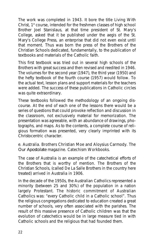The work was completed in 1943. It bore the title *Living With Christ*, 1<sup>st</sup> course, intended for the freshmen classes of high school Brother Joel Stanislaus, at that time president of St. Mary's College, asked that it be published under the aegis of the *St. Mary's College Press*, an enterprise that did not even exist until that moment. Thus was born the press of the Brothers of the Christian Schools dedicated, fundamentally, to the publication of textbooks and materials of the Catholic faith.

This first textbook was tried out in several high schools of the Brothers with great success and then revised and reedited in 1946. The volumes for the second year (1947), the third year (1950) and the hefty textbook of the fourth course (1957) would follow. To the actual text, lesson plans and support materials for the teachers were added. The success of these publications in Catholic circles was quite extraordinary.

These textbooks followed the methodology of an ongoing discourse. At the end of each one of the lessons there would be a series of questions that could provoke reflection and discussion in the classroom, not exclusively material for memorization. The presentation was agreeable, with an abundance of drawings, photographs, and maps. As to the contents, a complete course of religious formation was presented, very clearly imprinted with its Christocentric character.

#### **e. Australia. Brothers Christian Moe and Aloysius Carmody. The** *Our Apostolate* **magazine. Catechism Workbooks.**

The case of Australia is an example of the catechetical efforts of the Brothers that is worthy of mention. The Brothers of the Christian Schools, (called De La Salle Brothers in the country here treated) arrived in Australia in 1906.

In the decade of the 1950s, the Australian Catholics represented a minority (between 25 and 30%) of the population in a nation largely Protestant. The historic commitment of Australian Catholics was: "every Catholic child in a Catholic school". Thus the religious congregations dedicated to education created a great number of schools, very often associated with the parishes. The result of this massive presence of Catholic children was that the evolution of catechetics would be in large measure tied in with Catholic schools and the religious that had founded them.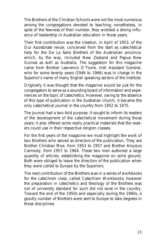The Brothers of the Christian Schools were not the most numerous among the congregations devoted to teaching; nonetheless, in spite of the fewness of their number, they wielded a strong influence of leadership in Australian education in those years.

Their first contribution was the creation, in April of 1953, of the *Our Apostolate* revue, conceived from the start as catechetical help for the De La Salle Brothers of the Austrialian province, which, by the way, included New Zealand and Papua New Guinea as well as Australia. The suggestion for this magazine came from Brother Lawrence O'Toole, Irish Assistant General, who for some twenty years (1946 to 1966) was in charge in the Superior's name of many English speaking sectors of the Institute.

Originally it was thought that the magazine would be just for the congregation to serve as a sounding board of information and experiences on the topic of catechetics. However, owing to the absence of this type of publication in the Australian church, it became the only catechetical journal in the country from 1952 to 1975.

The journal had a two-fold purpose: it sought to inform its readers of the development of the catechetical movement during those years; it also offered some really practical materials that the readers could use in their respective religion classes.

For the first years of the magazine we must highlight the work of two Brothers who served as directors of the publication. They are Brother Christian Moe, from 1953 to 1957 and Brother Aloysius Carmody, from 1957 to 1964. These two men authored a large quantity of articles, establishing the magazine on solid ground. Both were obliged to leave the direction of the publication when they were called to Europe by the Superiors.

The next contribution of the Brothers was in a series of workbooks for the catechism class, called *Catechism Workbooks*; however the preparation in catechetics and theology of the Brothers was not of university standard for such did not exist in the country. Toward the end of the 1950s and especially during the 1960s, a goodly number of Brothers were sent to Europe to take degrees in those disciplines.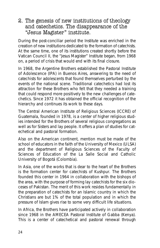## 2. The genesis of new institutions of theology and catechetics. The disappearance of the "Jesus Magister" institute.

During the post-conciliar period the Institute was enriched in the creation of new institutions dedicated to the formation of catechists. At the same time, one of its institutions created shortly before the Vatican Council II, the "Jesus Magister" Institute began, from 1968 on, a period of crisis that would end with its final closure.

In 1968, the Argentine Brothers established the Pastoral Institute of Adolescence (IPA) in Buenos Aires, answering to the need of catechists for adolescents that found themselves perturbed by the events of the national scene. Traditional catechetics had lost its attraction for these Brothers who felt that they needed a training that could respond more positively to the new challenges of catechetics. Since 1972 it has obtained the official recognition of the hierarchy and continues its work to these days.

The Central American Institute of Religious Sciences (ICCRE) of Guatemala, founded in 1978, is a center of higher religious studies intended for the Brothers of several religious congregations as well as for Sisters and lay people. It offers a plan of studies for catechetical and pastoral formation.

Also on the American continent, mention must be made of the school of educators in the faith of the University of Mexico (ULSA) and the department of Religious Sciences of the Faculty of Sciences of Education of the La Salle Social and Catholic University of Bogotá (Colombia).

In Asia, one of the works that is dear to the heart of the Brothers is the formation center for catechists of Kushpur. The Brothers founded this center in 1964 in collaboration with the bishops of the area, with the purpose of forming lay catechists for the six dioceses of Pakistan. The merit of this work resides fundamentally in the preparation of catechists for an Islamic country in which the Christians are but 1% of the total population and in which the pressure of Islam gives rise to some very difficult life situations.

In Africa, the Brothers have participated actively in collaboration since 1968 in the AMECEA Pastoral Institute of Gabba (Kenya). This is a center of catechetical and pastoral renewal through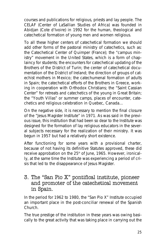courses and publications for religious, priests and lay people. The CELAF (Center of LaSallian Studies of Africa) was founded in Abidjan (Cote d'Ivoire) in 1992 for the human, theological and catechetical formation of young men and women religious.

To all these higher centers of catechetical formation we should add other forms of the pastoral ministry of catechetics, such as: the Catechetical Center of Quimper (France); the "campus ministry" movement in the United States, which is a form of chaplaincy for students; the encounters for catechetical updating of the Brothers of the District of Turin; the center of catechetical documentation of the District of Ireland; the direction of groups of catechist mothers in Mexico; the catechumenal formation of adults in Spain; the catechetical efforts of the Brothers in Greece, working in cooperation with Orthodox Christians; the "Saint Cassian Center" for retreats and catechetics of the young in Great Britain; the "Youth Villas" or summer camps, places of encounter, catechetics and religious celebration in Quebec, Canada…

On the negative side, it is necessary to mention the final closure of the "Jesus Magister Institute" in 1971. As was said in the previous issue, this institution that had been so dear to the Institute was designed for the formation of lay religious educators in the several subjects necessary for the realization of their ministry. It was begun in 1957 but had a relatively short existence.

After functioning for some years with a provisional charter, because of not having its definitive Statutes approved, these did receive approbation on the 25<sup>th</sup> of June, 1965. However, ironically, at the same time the Institute was experiencing a period of crisis that led to the disappearance of Jesus Magister.

3. The "San Pio X" pontifical institute, pioneer and promoter of the catechetical movement in Spain.

In the period for 1962 to 1980, the "San Pio X" Institute occupied an important place in the post-conciliar renewal of the Spanish Church.

The true prestige of the institution in these years was owing basically to the great activity that was taking place in carrying out the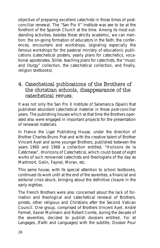objective of preparing excellent catechists in those times of postconciliar renewal. The "San Pio X" Institute was see to be at the forefront of the Spanish Church at the time. Among its most outstanding activities, besides those strictly academic, we can mention: the on-going formation of educators in the faith; the conferences, encounters and workshops, (signaling especially the famous workshops for the pastoral ministry of education); publications (catechetical posters, yearly plans for catechetics, vocational apostolates, *Sínite*, teaching plans for catechists, the "music and liturgy" collection, the catechetical collection, and finally, religion textbooks).

## 4. Catechetical publications of the Brothers of the christian schools, disappearance of the catechetical revues.

It was not only the San Pio X Institute of Salamanca (Spain) that published abundant catechetical material in those post-conciliar years. The publishing houses which at that time the Brothers operated also were engaged in important projects for the presentation of renewed materials.

In France the Ligel Publishing House, under the direction of Brother Charles-Bruno Prat and with the creative talent of Brother Vincent Ayel and some younger Brothers, published between the years 1960 and 1968 a collection entitled, "Horizons de la Catéchese", (Horizons of Catechetics), which could boast of eight works of such renowned catechists and theologians of the day as Martimort, Gelin, Faynel, Moran, etc.

This same house, with its special attention to school textbooks, continued its work until at the end of the seventies, a financial and editorial crisis struck, bringing about the definitive closure in the early eighties.

The French Brothers were also concerned about the lack of formation and theological and catechetical renewal of Brothers, priests, other religious and Christians after the Second Vatican Council. One group, comprised of Brothers Vincent Ayel, André Fermet, Xavier Mulmann and Robert Comte, during the decade of the seventies, decided to publish dossiers entitled, *Foi et Langages*, (Faith and Languages) with the subtitle, *Dossier Pour*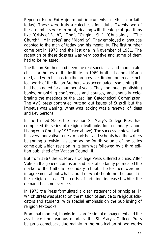*Repenser Notre Foi Aujourd'hui*, (documents to rethink our faith today). These were truly a catechesis for adults. Twenty-two of these numbers were in print, dealing with theological questions like "Crisis of Faith", "God", "Original Sin", "Christology", "The Church", "Ministries" and "Morality". They employed a language adapted to the man of today and his mentality. The first number came out in 1970 and the last one in November of 1981. The reception of these *dossiers* was very positive and some of them had to be re-issued.

The Italian Brothers had been the real specialists and model catechists for the rest of the Institute. In 1969 brother Leone di Maria died, and with his passing the progressive diminution in catechetical work of the Italian Brothers was accentuated, something that had been noted for a number of years. They continued publishing books, organizing conferences and courses, and annually celebrating the meetings of the Lasallian Catechetical Commission. The AyC press continued putting out issues of *Sussidi* but the impetus was waning. What was lacking was a renewal of ideas and key persons.

In the United States the Lasallian St. Mary's College Press had completed its series of religion textbooks for secondary school *Living with Christ* by 1957 (see above). The success achieved with this very innovative series in parishes and schools had the writers beginning a revision as soon as the fourth volume of the series came out; which revision in its turn was followed by a third edition published after Vatican Council II.

But from 1967 the St. Mary's College Press suffered a crisis. After Vatican II a general confusion and lack of certainty permeated the market of the Catholic secondary school. The teachers were not in agreement about what should or what should not be taught in the religion class. The costs of printing increased while the demand became ever less.

In 1975 the Press formulated a clear statement of principles, in which stress was placed on the mission of service to religious educators and students, with special emphasis on the publishing of religion textbooks.

From that moment, thanks to its professional management and the assistance from various quarters, the St. Mary's College Press began a comeback, due mainly to the publication of two works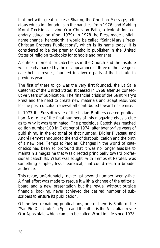that met with great success: *Sharing the Christian Message*, religious education for adults in the parishes (from 1976) and *Making Moral Decisions. Living Our Christian Faith*, a textook for secondary education (from 1979). In 1978 the Press made a slight name change; henceforth it would be called "Saint Mary's Press. Christian Brothers Publications", which is its name today. It is considered to be the premier Catholic publisher in the United States of religion textbooks for schools and parishes.

A critical moment for catechetics in the Church and the Institute was clearly marked by the disappearance of three of the five great catechetical revues, founded in diverse parts of the Institute in previous years.

The first of these to go was the very first founded, the *La Salle Catechist* of the United States. It ceased in 1968 after 34 consecutive years of publication. The financial crisis of the Saint Mary's Press and the need to create new materials and adapt resources for the post-conciliar renewal all contributed toward its demise.

In 1977 the *Sussidi* revue of the Italian Brothers ceased publication. Not one of the final numbers of this magazine gives a clue as to why it was terminated. The prestigious *Catéchistes* reached edition number 100 in October of 1974, after twenty-five years of publishing. In the editorial of that number, Didier Piveteau and André Fermet announced the end of that publication and the birth of a new one, *Temps et Paroles*. Changes in the world of catechetics had been so profound that it was no longer feasible to maintain a magazine that was directed principally toward professional catechists. What was sought, with Temps et Paroles, was something simpler, less theoretical, that could reach a broader audience.

This revue, unfortunately, never got beyond number twenty-five. A final effort was made to rescue it with a change of the editorial board and a new presentation but the revue, without outside financial backing, never achieved the desired number of subscribers to ensure its publication.

Of the two remaining publications, one of them is *Sinite* of the "San Pío X Institute" in Spain and the other is the Australian revue *Our Apostolate* which came to be called *Word in Life* since 1978.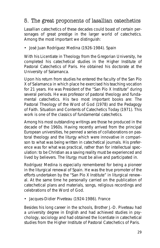# 5. The great proponents of lasallian catechetics

Lasallian catechetics of these decades could boast of certain personages of great prestige in the larger world of catechetics. Among the most important we distinguish:

*• José Juan Rodríguez Medina (1926-1984). Spain*

With his Licentiate in Theology from the Gregorian University, he completed his catechetical studies in the Higher Institute of Pastoral Catechetics of Paris. He obtained his doctorate at the University of Salamanca.

Upon his return from studies he entered the faculty of the San Pío X of Salamanca in which place he exercised his teaching vocation for 21 years. He was President of the "San Pío X Institute" during several periods. He was professor of pastoral theology and fundamental catechetics. His two most important books are: *The Pastoral Theology of the Word of God* (1978) and *the Pedagogy of Faith. Situation and Contents of Catechetics Today* (1971). This work is one of the classics of fundamental catechetics.

Among his most outstanding writings are those he produced in the decade of the 1960s. Having recently arrived from the principal European universities, he penned a series of collaborations on pastoral theology and the liturgy which were innovative in comparison to what was being written in catechetical journals. His preference was for what was practical, rather than for intellectual speculation: to be Christian as a saving reality must be experienced and lived by believers. The liturgy must be alive and participated in.

Rodríguez Medina is especially remembered for being a pioneer in the liturgical renewal of Spain. He was the true promoter of the efforts undertaken by the "San Pío X Institute" in liturgical renewal. At the same time he personally carried on the publication of catechetical plans and materials, songs, religious recordings and celebrations of the Word of God.

*• Jacques-Didier Piveteau (1924-1986). France*

Besides his long career in the schools, Brother J.-D. Piveteau had a university degree in English and had achieved studies in psychology, sociology and had obtained the licentiate in catechetical studies from the Higher Institute of Pastoral Catechetics of Paris.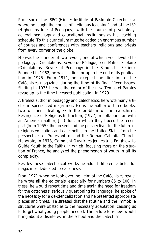Professor of the ISPC (Higher Institute of Pastorale Catechetics), where he taught the course of "religious teaching" and of the ISP (Higher Institute of Pedagogy), with the courses of psychology, general pedagogy and educational institutions as his teaching schedule. To this curriculum must be added an enormous number of courses and conferences with teachers, religious and priests from every corner of the globe.

He was the founder of two revues, one of which was devoted to pedagogy: *Orientations. Revue de Pédagogie en Milieu Scolaire* (Orientations. Revue of Pedagogy in the Scholastic Setting). Founded in 1962, he was its director up to the end of its publication in 1975. From 1971, he accepted the direction of the *Catéchistes* magazine, during the time of its final fifteen issues. Starting in 1975 he was the editor of the new *Temps et Paroles* revue up to the time it ceased publication in 1979.

A tireless author in pedagogy and catechetics, he wrote many articles in specialized magazines. He is the author of three books, two of them dealing with the problem of the catechism: *Resurgence of Religious Instruction*, (1977) in collaboration with an American author, J. Dillon, in which they traced the recent past (from 1955), the present and the perspectives for the future of religious education and catechetics in the United States from the perspectives of Protestantism and the Roman Catholic Church. He wrote, in 1978, *Comment Ouvrir les Jeunes à la Foi* (How to Guide Youth to the Faith), in which, focusing more on the situation of France, he analyzed the phenomenon of youth in all its complexity.

Besides these catechetical works he added different articles for magazines dedicated to catechesis.

From 1971 when he took over the helm of the *Catéchistes* revue, he wrote all the editorials, especially for numbers 85 to 100. In these, he would repeat time and time again the need for freedom for the catechesis, seriously questioning its language; he spoke of the necessity for a de-clericalization and he presented appropriate places and times. He stressed that the routine and the immobile structures were obstacles to the necessary adaptation, causing us to forget what young people needed. The failure to renew would bring about a disinterest in the school and the catechism.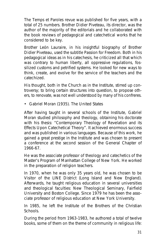The *Temps et Paroles* revue was published for five years, with a total of 25 numbers. Brother Didier Piveteau, its director, was the author of the majority of the editorials and he collaborated with the book reviews of pedagogical and catechetical works that he considered to be key.

Brother León Lauraire, in his insightful biography of Brother Didier Piveteau, used the subtitle *Passion for Freedom*. Both in his pedagogical ideas as in his catechesis, he criticized all that which was contrary to human liberty, all oppressive regulations, fossilized customs and petrified systems. He looked for new ways to think, create, and evolve for the service of the teachers and the catechized.

His thought, both in the Church as in the Institute, stirred up controversy; to bring certain structures into question, to propose others, to renovate, was not well understood by many of his confreres.

*• Gabriel Moran (1935). The United States*

After having taught in several schools of the Institute, Gabriel Moran studied philosophy and theology, obtaining his doctorate with his thesis: "Contemporary Theology of Revelation and its Effects Upon Catechetical Theory". It achieved enormous success and was published in various languages. Because of this work, he gained a great prestige in the Institute and was chosen to present a conference at the second session of the General Chapter of 1966-67.

He was the associate professor of theology and catechetics of the Master's Program of Manhattan College of New York. He worked in the preparation of religion teachers.

In 1970, when he was only 35 years old, he was chosen to be Visitor of the LINE District (Long Island and New England). Afterwards, he taught religious education in several universities and theological faculties: New Theological Seminary, Fairfield University and Boston College. Since 1979 he has been the associate professor of religious education at New York University.

In 1985, he left the Institute of the Brothers of the Christian Schools.

During the period from 1963-1983, he authored a total of twelve books, some of them on the theme of community in religious life: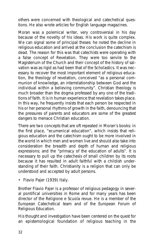others were concerned with theological and catechetical questions. He also wrote articles for English language magazines.

Moran was a polemical writer, very controversial in his day because of the novelty of his ideas. His work is quite complex. We can signal some of principal theses: he noted the decline in religious education and arrived at the conclusion the catechism is dead. The reason for this was that catechists were operating with a false concept of Revelation. They were too servile to the Magisterium of the Church and their concept of the history of salvation was as rigid as had been that of the Scholastics. It was necessary to recover the most important element of religious education, the theology of revelation, conceived "as a personal communion of knowledge, an interrelationship between God and the individual within a believing community". Christian theology is much broader than the dogma professed by any one of the traditions of faith. It is in human experience that revelation takes place. In this way, he frequently insists that each person be respected in his or her personal rhythms of growth in the faith, denouncing that the pressures of parents and educators are some of the greatest dangers to menace Christian education.

There are two concepts that are oft repeated in Moran's books: in the first place, "ecumenical education", which insists that religious education and the catechism ought to be more involved in the world in which men and women live and should also take into consideration the breadth and depth of human and religious expressions; and the "primacy of the education of adults". It is necessary to pull up the catechesis of small children by its roots because it has resulted in adult faithful with a childish understanding of their faith. Christianity is a religion that can only be understood and accepted by adult persons.

#### **• Flavio Pajer (1939) Italy.**

Brother Flavio Pajer is a professor of religious pedagogy in several pontifical universities in Rome and for many years has been director of the *Religione e Scuola* revue. He is a member of the European Catechetical team and of the European Forum of Religious Education.

His thought and investigation have been centered on the quest for an epistemological foundation of religious teaching in the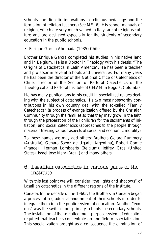schools, the didactic innovations in religious pedagogy and the formation of religion teachers (See MEL 6). His school manuals of religion, which are very much valued in Italy, are of religious culture and are designed especially for the students of secondary education in the public schools.

#### **• Enrique García Ahumada (1935) Chile.**

Brother Enrique García completed his studies in his native land and in Belgium. He is a Doctor in Theology with his thesis: "The Origins of Catechetics in Latin America". He has been a teacher and professor in several schools and universities. For many years he has been the director of the National Office of Catechetics of Chile, director of the Section of Pastoral Catechetics of the Theological and Pastoral Institute of CELAM in Bogotá, Colombia.

He has many publications to his credit in specialized revues dealing with the subject of catechetics. His two most noteworthy contributions in his own country deal with the so-called "Family Catechetics" (a process of evangelization offered by the Christian Community through the families so that they may grow in the faith through the preparation of their children for the sacraments of initiation) and social catechetics (approaches to the people through materials treating various aspects of social and economic morality).

To these names we may add others: Brothers Gerard Rummery (Australia), Genaro Saenz de Ugarte (Argentina), Robert Comte (France), Herman Lombaerts (Belgium), Jeffrey Gros (United States), Israel José Nery (Brazil) and many others.

## 6. Lasallian catechetics in various parts of the institute

With this last point we will consider "the lights and shadows" of Lasallian catechetics in the different regions of the Institute.

**Canada**. In the decade of the 1960s, the Brothers in Canada began a process of a gradual abandonment of their schools in order to integrate them into the public system of education. Another "exodus" was the switch from primary schools to secondary schools. The installation of the so-called multi-purpose system of education required that teachers concentrate on one field of specialization. This specialization brought as a consequence the elimination of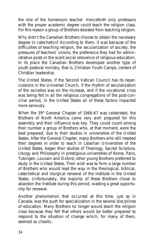the role of the homeroom teacher. Henceforth only professors with the proper academic degree could teach the religion class. For this reason a group of Brothers desisted from teaching religion.

Why didn't the Canadian Brothers choose to obtain the necessary degree in catechetics? According to them, it was because of the difficulties of teaching religion, the secularization of society, the pressures of teachers' unions, the preference they had for administrative posts or the scant social relevance of religious education. In its place the Canadian Brothers developed another type of youth pastoral ministry, that is, Christian Youth Camps, centers of Christian leadership.

**The United States**. If the Second Vatican Council has its repercussions in the Universal Church, if the rhythm of secularization of the societies was on the increase, and if the vocational crisis was being felt in all the religious congregations of the post-conciliar period, in the United States all of these factors impacted more seriously.

When the 39<sup>th</sup> General Chapter of 1966-67 was celebrated, the Brothers of North America came very well prepared for this assembly and their influence was key. They could count among their number a group of Brothers who, at that moment, were the best prepared, due to their studies in universities of the United States. After the General Chapter, many Brothers who still needed their degrees in order to teach in Lasallian Universities of the United States, began their studies of Theology, Sacred Scripture, Liturgy and Philosophy in prestigious universities of Rome, Paris, Tubingen, Louvain and Oxford; other young Brothers preferred to study in the United States. Their wish was to form a large number of Brothers who would lead the way in the theological, biblical, catechetical and liturgical renewal of the Institute in the United States. Unfortunately, the majority of these Brothers chose to abandon the Institute during this period, wasting a great opportunity for renewal.

Another phenomenon that occurred at this time, just as in Canada, was the push for specialization in the several disciplines of education. Many Brothers no longer would teach the religion class because they felt that others would be better prepared to respond to the situation of change which, for many of them, seemed so chaotic.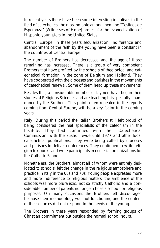In recent years there have been some interesting initiatives in the field of catechetics, the most notable among them the "Testigos de Esperanza" (Witnesses of Hope) project for the evangelization of Hispanic youngsters in the United States.

**Central Europe**. In these years secularization, indifference and abandonment of the faith by the young have been a constant in the countries of Central Europe.

The number of Brothers has decreased and the age of those remaining has increased. There is a group of very competent Brothers that have profited by the schools of theological and catechetical formation in the zone of Belgium and Holland. They have cooperated with the dioceses and parishes in the movements of catechetical renewal. Some of them head up these movements.

Besides this, a considerable number of laymen have begun their studies of Religious Sciences and are teaching this specialty abandoned by the Brothers. This point, often repeated in the reports coming from Central Europe, will be a key factor in the coming years.

**Italy**. During this period the Italian Brothers still felt proud of being considered the real specialists of the catechism in the Institute. They had continued with their Catechetical Commission, with the *Sussidi* revue until 1977 and other local catechetical publications. They were being called by dioceses and parishes to deliver conferences. They continued to write religion textbooks and were participants in ecclesial organizations for the Catholic School.

Nonetheless, the Brothers, almost all of whom were entirely dedicated to schools, felt the change in the religious atmosphere and practice in Italy in the 60s and 70s. Young people expressed more and more indifference to religious matters; the ambience of the schools was more pluralistic, not so strictly Catholic and a considerable number of parents no longer chose a school for religious purposes. On many occasions the Brothers felt discouraged because their methodology was not functioning and the content of their courses did not respond to the needs of the young.

The Brothers in these years responded by forming groups of Christian commitment but outside the normal school hours.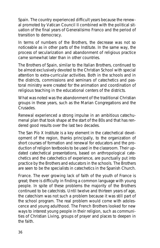**Spain**. The country experienced difficult years because the renewal promoted by Vatican Council II combined with the political situation of the final years of Generalísimo Franco and the period of transition to democracy.

In terms of numbers of the Brothers, the decrease was not so noticeable as in other parts of the Institute. In the same way, the process of secularization and abandonment of religious practice came somewhat later than in other countries.

The Brothers of Spain, similar to the Italian Brothers, continued to be almost exclusively devoted to the Christian School with special attention to extra-curricular activities. Both in the schools and in the districts, commissions and seminars of catechetics and pastoral ministry were created for the animation and coordination of religious teaching in the educational centers of the districts.

What was noted was the abandonment of the traditional Christian groups in these years, such as the Marian Congregations and the Crusades.

Renewal experienced a strong impulse in an ambitious catechumenal plan that took shape at the start of the 80s and that has rendered good results over the last two decades.

The San Pío X Institute is a key element in the catechetical development of the region, thanks principally, to the organization of short courses of formation and renewal for educators and the production of religion textbooks to be used in the classroom. Their updated catechetical presentations, based on anthropological catechetics and the catechetics of experience, are punctually put into practice by the Brothers and educators in the schools. The Brothers are seen to be the specialists in catechetics in the Spanish Church.

**France**. The ever growing lack of faith of the youth of France is great; there is difficulty in finding a common language with young people. In spite of these problems the majority of the Brothers continued to be catechists. Until twelve and thirteen years of age, the catechism was not such a problem because it was still part of the school program. The real problem would come with adolescence and young adulthood. The French Brothers looked for new ways to interest young people in their religion, such as communities of Christian Living, groups of prayer and places to deepen in the faith.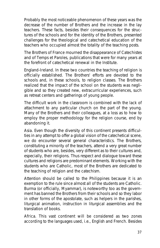Probably the most noticeable phenomenon of these years was the decrease of the number of Brothers and the increase in the lay teachers. These facts, besides their consequences for the structures of the schools and for the identity of the Brothers, presented challenges for the theological and catechetical education of the teachers who occupied almost the totality of the teaching posts.

The Brothers of France mourned the disappearance of *Catechistes* and of *Temps et Paroles*, publications that were for many years at the forefront of catechetical renewal in the Institute.

**England-Ireland**. In these two countries the teaching of religion is officially established. The Brothers' efforts are devoted to the schools and, in these schools, to religion classes. The Brothers realized that the impact of the school on the students was negligible and so they created new, extracurricular experiences, such as retreat centers and gatherings of young people.

The difficult work in the classroom is combined with the lack of attachment to any particular church on the part of the young. Many of the Brothers and their colleagues, at a loss as to how to employ the proper methodology for the religion course, end by abandoning it.

**Asia**. Even though the diversity of this continent presents difficulties in any attempt to offer a global vision of the catechetical scene, we do encounter several general characteristics. The Brothers, constituting a minority of the teachers, attend a very great number of students who are, besides, very different as to their cultures and, especially, their religions. Thus respect and dialogue toward these cultures and religions are predominant elements. Working with the students who are Catholic, most of the Brothers are dedicated to the teaching of religion and the catechism.

Attention should be called to the Philippines because it is an exemption to the rule since almost all of the students are Catholic. Burma (or officially, Myammar), is noteworthy too as the government has banned the Brothers from their schools and so they labor in other forms of the apostolate, such as helpers in the parishes, liturgical animation, instruction in liturgical assemblies and the translation of books.

**Africa**. This vast continent will be considered as two zones according to the languages used, i.e., English and French. Besides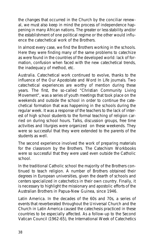the changes that occurred in the Church by the conciliar renewal, we must also keep in mind the process of independence happening in many African nations. The greater or less stability and/or the establishment of one political regime or the other would influence the catechetical work of the Brothers.

In almost every case, we find the Brothers working in the schools. Here they were finding many of the same problems to catechize as were found in the countries of the developed world: lack of formation, confusion when faced with the new catechetical trends, the inadequacy of method, etc.

**Australia**. Catechetical work continued to evolve, thanks to the influence of the *Our Apostolate* and *Word In Life* journals. Two catechetical experiences are worthy of mention during these years. The first, the so-called "Christian Community Living Movement", was a series of youth meetings that took place on the weekends and outside the school in order to continue the catechetical formation that was happening in the schools during the regular week. It was a response of the teachers to the lack of interest of high school students to the formal teaching of religion carried on during school hours. Talks, discussion groups, free time activities and liturgies were organized on these weekends. They were so successful that they were extended to the parents of the students as well.

The second experience involved the work of preparing materials for the classroom by the Brothers. The *Catechism Workbooks* were so successful that they were used even outside the Catholic school.

In the traditional Catholic school the majority of the Brothers continued to teach religion. A number of Brothers obtained their degrees in European universities, given the dearth of schools and centers specialized in catechetics in their own country. Finally, it is necessary to highlight the missionary and apostolic efforts of the Australian Brothers in Papua-New Guinea, since 1946.

**Latin America**. In the decades of the 60s and 70s, a series of events that reverberated throughout the Universal Church and the Church in Latin America caused the catechesis practiced in these countries to be especially affected. As a follow-up to the Second Vatican Council (1962-65), the International Week of Catechetics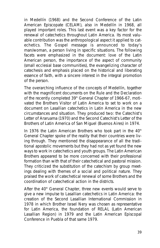in Medellín (1968) and the Second Conference of the Latin American Episcopate (CELAM), also in Medellín in 1968, all played important roles. This last event was a key factor for the renewal of catechetics throughout Latin America. Its most valuable contribution was the anthropological aspect it applied to catechetics. The Gospel message is announced to today's man/woman, a person living in specific situations. The following facets were emphasized in the document: love of the Latin American person, the importance of the aspect of community (small ecclesial base communities), the evangelizing character of catechesis and emphasis placed on the historical and liberating essence of faith, with a sincere interest in the integral promotion of the person.

The overarching influence of the concepts of Medellín, together with the magnificent documents on the *Rule* and the *Declaration* of the recently completed 39<sup>th</sup> General Chapter of 1966-67, motivated the Brothers Visitor of Latin America to set to work on a document on Lasallian catechetics in Latin America in the new circumstances and situation. They produced two: the *Catechist's Letter of Araruama* (1970) and the *Second Catechist's Letter of the Brothers of Latin America of San Miguel* (Buenos Aires) in 1974.

In 1976 the Latin American Brothers who took part in the  $40<sup>th</sup>$ General Chapter spoke of the reality that their countries were living through. They mentioned the disappearance of all the traditional apostolic movements but they had not as yet found the new ways to work in catechetics and youth groups. The Latin American Brothers appeared to be more concerned with their professional formation than with that of their catechetical and pastoral mission. They criticized the substitution of the catechism by group meetings dealing with themes of a social and political nature. They praised the work of catechetical renewal of some Brothers and the coordination of catechetical action in the districts.

After the 40<sup>th</sup> General Chapter, three new events would serve to give a new impulse to Lasallian catechetics in Latin America: the creation of the Second Lasallian International Commission in 1978 in which Brother Israel Nery was chosen as representative for Latin America, the foundation of RELAL (Latin American Lasallian Region) in 1979 and the Latin American Episcopal Conference in Puebla of that same 1979.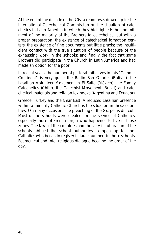At the end of the decade of the 70s, a report was drawn up for the International Catechetical Commission on the situation of catechetics in Latin America in which they highlighted: the commitment of the majority of the Brothers to catechetics, but with a proper preparation; the existence of catechetical formation centers; the existence of fine documents but little praxis; the insufficient contact with the true situation of people because of the exhausting work in the schools; and finally the fact that some Brothers did participate in the Church in Latin America and had made an option for the poor.

In recent years, the number of pastoral initiatives in this "Catholic Continent" is very great: the Radio San Gabriel (Bolivia), the Lasallian Volunteer Movement in El Salto (México), the Family Catechetics (Chile), the Catechist Movement (Brazil) and catechetical materials and religion textbooks (Argentina and Ecuador).

**Greece, Turkey and the Near East**. A reduced Lasallian presence within a minority Catholic Church is the situation in these countries. On many occasions the preaching of the Gospel is difficult. Most of the schools were created for the service of Catholics, especially those of French origin who happened to live in those zones. The laws of the countries and the very inculturation of the schools obliged the school authorities to open up to non-Catholics who began to register in large numbers in those schools. Ecumenical and inter-religious dialogue became the order of the day.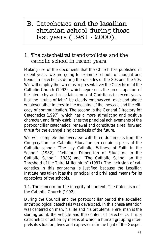# B. Catechetics and the lasallian christian school during these last years (1981 - 2000).

# 1. The catechetical trends/policies and the catholic school in recent years.

Making use of the documents that the Church has published in recent years, we are going to examine schools of thought and trends in catechetics during the decades of the 80s and the 90s. We will employ the two most representative: the *Catechism of the Catholic Church* (1992), which represents the preoccupation of the hierarchy and a certain group of Christians in recent years, that the "truths of faith" be clearly emphasized, over and above whatever other interest in the meaning of the message and the efficacy of communication. The second is the *General Directory for Catechetics* (1997), which has a more stimulating and positive character, and firmly establishes the principal achievements of the post-conciliar catechetical renewal and constitutes a real forward thrust for the evangelizing catechesis of the future.

We will complete this overview with three documents from the Congregation for Catholic Education on certain aspects of the Catholic school: *"The Lay Catholic, Witness of Faith in the School"* (1982), *"Religious Dimension of Education in the Catholic School"* (1988) and *"The Catholic School on the Threshold of the Third Millennium"* (1997). The inclusion of catechetics in this panorama is justified because the Lasallian Institute has taken it as the principal and privileged means for its apostolate of the schools.

#### **1.1. The concern for the integrity of content. The Catechism of the Catholic Church (1992).**

During the Council and the post-conciliar period the so-called anthropological catechesis was developed. In this phase attention was centered on man, his life and his problems. Here, man is the starting point, the vehicle and the content of catechetics. It is a catechetics of action by means of which a human grouping interprets its situation, lives and expresses it in the light of the Gospel.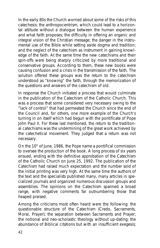In the early 80s the Church worried about some of the risks of this catechesis: the anthropocentrism, which could lead to a horizontal attitude without a dialogue between the human experience and what faith proposes; the difficulty in offering an organic and integral vision of the Christian message; the danger in the instrumental use of the Bible while setting aside dogma and tradition; and the neglect of the catechism as instrument in gaining knowledge of the faith. At the same time the new catechisms and their spin-offs were being sharply criticized by more traditional and conservative groups. According to them, these new books were causing confusion and a crisis in the transmission of the faith. The solution offered these groups was the return to the catechism understood as "knowing" the faith, through the memorization of the questions and answers of the catechism of old.

In response the Church initiated a process that would culminate in the publication of the *Catechism of the Catholic Church*. This was a process that some considered very necessary owing to the "lack of control" that had permeated the Church since the end of the Council and, for others, one more example of the Church's turning in on itself which had begun with the pontificate of Pope John Paul II. For these last mentioned, the return to the traditional catechisms was the undermining of the great work achieved by the catechetical movement. They judged that a return was not necessary.

On the  $10<sup>th</sup>$  of June, 1986, the Pope name a pontifical commission to oversee the production of the book. A long process of six years ensued, ending with the definitive approbation of the *Catechism of the Catholic Church* on June 25, 1992. The publication of the Catechism had raised much expectation and the number sold of the initial printing was very high. At the same time the authors of the text and the specialists published many, many articles in specialized journals and organized numerous discussion groups and assemblies. The opinions on the Catechism spanned a broad range, with negative comments far outnumbering those that heaped praised.

Among the criticisms most often heard were the following: the questionable structure of the Catechism (Credo, Sacraments, Moral, Prayer); the separation between Sacraments and Prayer; the notional and neo-scholastic theology without up-dating; the abundance of Biblical citations but with an insufficient exegesis;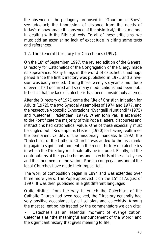the absence of the pedagogy proposed in "Gaudium et Spes", see-judge-act; the impression of distance from the needs of today's man/woman; the absence of the historical/critical method in dealing with the Biblical texts. To all of these criticisms, we must add an astonishing lack of exactitude in citing some texts and references.

#### **1.2. The General Directory for Catechetics (1997).**

On the 18<sup>th</sup> of September, 1997, the revised edition of the General Directory for Catechetics of the Congregation of the Clergy made its appearance. Many things in the world of catechetics had happened since the first Directory was published in 1971 and a revision was badly needed. During those twenty-six years a multitude of events had occurred and so many modifications had been published so that the face of catechesis had been considerably altered.

After the Directory of 1971 came the Rite of Christian Initiation for Adults (1972), the two Synodal Assemblies of 1974 and 1977, and the respective Apostolic Exhortations "Evangelii Nuntiandi" (1975) and "Catechesi Tradendae" (1979). When John Paul II ascended to the Pontificate the majority of this Pope's letters, discourses and instructions had catechetical value. One of these especially must be singled out, "Redemptoris Missio" (1990) for having reaffirmed the permanent validity of the missionary mandate. In 1992, the "*Catechism of the Catholic Church*" was added to the list, marking again a significant moment in the recent history of catechetics in which the Directory must naturally be included. Finally, all the contributions of the great scholars and catechists of these last years and the documents of the various Roman congregations and of the local Churches have made their impact felt.

The work of composition began in 1994 and was extended over three more years. The Pope approved it on the  $15<sup>th</sup>$  of August of 1997. It was then published in eight different languages.

Quite distinct from the way in which the *Catechism of the Catholic Church* had been received, the Directory generally had very positive acceptance by all scholars and catechists. Among the most salient points treated by the commentators we can cite:

Catechesis as an essential moment of evangelization. Catechesis as "the meaningful announcement of the Word" and the significant history that gives meaning to life.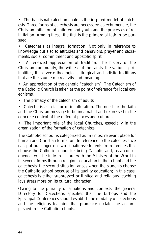• The baptismal catechumenate is the inspired model of catchesis. Three forms of catechesis are necessary: catechumenate, the Christian initiation of children and youth and the processes of reinitiation. Among these, the first is the primordial task to be pursued.

Catechesis as integral formation. Not only in reference to knowledge but also to attitudes and behaviors, prayer and sacraments, social commitment and apostolic spirit.

• A renewed appreciation of tradition. The history of the Christian community, the witness of the saints, the various spiritualities, the diverse theological, liturgical and artistic traditions that are the source of creativity and meaning.

• An appreciation of the generic "catechism". The Catechism of the Catholic Church is taken as the point of reference for local catechisms.

• The primacy of the catechism of adults.

• Catechesis as a factor of inculturation. The need for the faith and the Christian message to be incarnated and expressed in the concrete context of the different places and cultures.

The important role of the local Churches, especially in the organization of the formation of catechists.

The Catholic school is categorized as THE most relevant place for human and Christian formation. In reference to the catechesis we can put our finger on two situations: students from families that choose the Catholic school for being Catholic and, as a consequence, will be fully in accord with the Ministry of the Word in its several forms through religious education in the school and the catechesis; the second situation arises when the students choose the Catholic school because of its quality education; in this case, catechesis is either suppressed or limited and religious teaching lays stress more on its cultural character.

Owing to the plurality of situations and contexts, the general Directory for Catechesis specifies that the bishops and the Episcopal Conferences should establish the modality of catechesis and the religious teaching that prudence dictates be accomplished in the Catholic schools.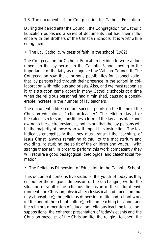#### **1.3. The documents of the Congregation for Catholic Education.**

During the period after the Council, the Congregation for Catholic Education published a series of documents that had their influence with the Brothers of the Christian Schools. It is worthwhile citing them.

#### *• The Lay Catholic, witness of faith in the school (1982)*

The Congregation for Catholic Education decided to write a document on the lay person in the Catholic School, owing to the importance of the laity as recognized by Vatican Council II. The Congregation saw the enormous possibilities for evangelization that lay persons had through their presence in the school in collaboration with religious and priests. Also, and we must recognize it, this situation came about in many Catholic schools at a time when the religious personnel had diminished, causing a considerable increase in the number of lay teachers.

The document addressed four specific points on the theme of the Christian educator as "religion teacher". The religion class, like the catechism lesson, constitutes a form of the lay apostolate and, owing to these circumstances, points out that the lay persons will be the majority of those who will impart this instruction. The text indicates energetically that they must transmit the teachings of Jesus Christ, always remaining faithful to the magisterium and avoiding, "disturbing the spirit of the children and youth… with strange theories". In order to perform this work competently they will require a good pedagogical, theological and catechetical formation.

#### *• The Religious Dimension of Education in the Catholic School*

This document contains five sections: the youth of today as they encounter the religious dimension of life (a changing world, the situation of youth); the religious dimension of the cultural environment (the Christian, physical, ecclesiastical and open community atmosphere); the religious dimension of life and school work (of life and of the school culture); religion teaching in school and the religious dimension of education (religious teaching in school, suppositions, the coherent presentation of today's events and the Christian message, of the Christian life, the religion teacher); the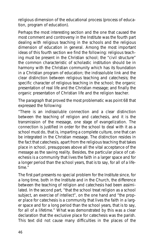religious dimension of the educational process (process of education, program of education).

Perhaps the most interesting section and the one that caused the most comment and controversy in the Institute was the fourth part dealing with religious teaching in the schools and the religious dimension of education in general. Among the most important ideas of this fourth section we find the following: religious teaching must be present in the Christian school; the "civil structure" the common characteristic of scholastic institution should be in harmony with the Christian community which has its foundation in a Christian program of education; the indissoluble link and the clear distinction between religious teaching and catechesis; the specific character of religious teaching in the school; the organic presentation of real life and the Christian message; and finally the organic presentation of Christian life and the religion teacher.

The paragraph that proved the most problematic was point 68 that expressed the following:

"There is an indissoluble connection and a clear distinction between the teaching of religion and catechesis, and it is the transmission of the message, one stage of evangelization. The connection is justified in order for the school to deal with it as a school must do, that is, imparting a complete culture, one that can be integrated in the Christian message. The distinction resides in the fact that catechesis, apart from the religious teaching that takes place in school, presupposes above all the vital acceptance of the message as the saving reality. Besides, the particular place of catechesis is a community that lives the faith in a larger space and for a longer period than the school years, that is to say, for all of a lifetime."

The first part presents no special problem for the Institute since, for a long time, both in the Institute and in the Church, the difference between the teaching of religion and catechesis had been assimilated. In the second part, "that the school treat religion as a school subject, an exercise of intellect", on the one hand and "the proper place for catechesis is a community that lives the faith in a larger space and for a long period than the school years, that is to say, for all of a lifetime." What was demonstrated by this was a clear declaration that the exclusive place for catechesis was the parish. This text did not cause many difficulties in the places of the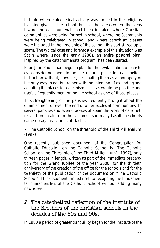Institute where catechetical activity was limited to the religious teaching given in the school; but in other areas where the steps toward the catechumenate had been initiated, where Christian communities were being formed in school, where the Sacraments were being celebrated in school, and where catechism classes were included in the timetable of the school, this part stirred up a storm. The typical case and foremost example of this situation was Spain where, since the early 1980s, an entire pastoral plan, inspired by the catechumenate program, has been started.

Pope John Paul II had begun a plan for the revitalization of parishes, considering them to be the natural place for catechetical instruction without, however, designating them as a monopoly or the only way to go, but rather with the intention of extending and adapting the places for catechism as far as would be possible and useful, frequently mentioning the school as one of those places.

This strengthening of the parishes frequently brought about the diminishment or even the end of other ecclesial communities. In several parishes and even dioceses of Spain the work of catechetics and preparation for the sacraments in many Lasallian schools came up against serious obstacles.

#### *• The Catholic School on the threshold of the Third Millennium (1997)*

One recently published document of the Congregation for Catholic Education on the Catholic School is "The Catholic School on the Threshold of the Third Millennium" (1997), only thirteen pages in length, written as part of the immediate preparation for the Grand Jubilee of the year 2000, for the thirtieth anniversary of the creation of the office for the schools and for the twentieth of the publication of the document on "The Catholic School". This document limited itself to recapping the fundamental characteristics of the Catholic School without adding many new ideas.

## 2. The catechetical reflection of the institute of the Brothers of the christian schools in the decades of the 80s and 90s.

In 1980 a period of greater tranquility began for the Institute of the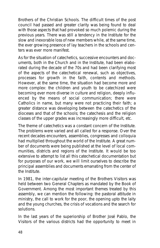Brothers of the Christian Schools. The difficult times of the post council had passed and greater clarity was being found to deal with those aspects that had provoked so much polemic during the previous years. There was still a tendency in the Institute for the slow and inexorable loss of new members while, at the same time, the ever growing presence of lay teachers in the schools and centers was ever more manifest.

As for the situation of catechetics, successive encounters and documents, both in the Church and in the Institute, had been elaborated during the decade of the 70s and had been clarifying most of the aspects of the catechetical renewal, such as objectives, processes for growth in the faith, contents and methods. However, at the same time, the situation had become more and more complex: the children and youth to be catechized were becoming ever more diverse in culture and religion, deeply influenced by the means of social communication; there were Catholics in name, but many were not practicing their faith; a greater distance was developing between the catechetics of the dioceses and that of the schools; the catechesis and the religion classes of the upper grades was increasingly more difficult, etc.

The theme of catechetics was a constant concern of the Institute. The problems were varied and all called for a response. Over the recent decades encounters, assemblies, congresses and colloquia had multiplied throughout the world of the Institute. A great number of documents were being published at the level of local communities, districts and regions of the Institute. It would be too extensive to attempt to list all this catechetical documentation but for purposes of our work, we will limit ourselves to describe the principal assemblies and documents emanating from the center of the Institute.

In 1981, the inter-capitular meeting of the Brothers Visitors was held between two General Chapters as mandated by the *Book of Government*. Among the most important themes treated by this assembly, we can mention the following: the pastoral attitude in ministry, the call to work for the poor, the opening upto the laity and the young churches, the crisis of vocations and the search for solutions.

In the last years of the superiorship of Brother José Pablo, the Visitors of the various districts had the opportunity to meet in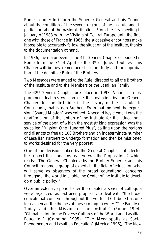Rome in order to inform the Superior General and his Council about the condition of the several regions of the Institute and, in particular, about the pastoral situation. From the first meeting in January of 1983 with the Visitors of Central Europe until the final one with those of France in 1985, the successive encounters make it possible to accurately follow the situation of the Institute, thanks to the documentation at hand.

In 1986, the major event is the 41<sup>st</sup> General Chapter celebrated in Rome from the  $7<sup>th</sup>$  of April to the  $3<sup>rd</sup>$  of June. Doubtless this Chapter will be best remembered for the study and the approbation of the definitive Rule of the Brothers.

Two *Messages* were added to the Rule, directed to all the Brothers of the Institute and to the Members of the Lasallian Family.

The 42<sup>nd</sup> General Chapter took place in 1993. Among its most prominent features we can cite the invitation by the General Chapter, for the first time in the history of the Institute, to Consultants, that is, non-Brothers. From that moment the expression "Shared Mission" was coined. A second key element was the re-affirmation of the option of the Institute for the educational service of the poor, of which the most striking expression was the so-called "Mission One Hundred Plus", calling upon the regions and districts to free up 100 Brothers and an indeterminate number of Lasallian Partners to undergo formation and then be missioned to works destined for the very poorest.

One of the decisions taken by the General Chapter that affected the subject that concerns us here was the Proposition 2 which reads: "The General Chapter asks the Brother Superior and his Council to name a group of experts in the field of education who will serve as observers of the broad educational concerns throughout the world to enable the Center of the Institute to develop a public policy."

Over an extensive period after the chapter a series of colloquia were organized, as had been proposed, to deal with "the broad educational concerns throughout the world". Distributed as one for each year, the themes of these colloquia were: "The Family of Today and the Mission of the Institute" (Rome 1994), "Globalization in the Diverse Cultures of the World and Lasallian Education" (Colombo 1995), "The Megalopolis as Social Phenomenon and Lasallian Education" (Mexico 1996), "The New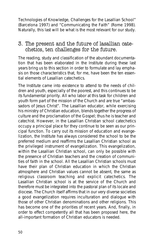Technologies of Knowledge, Challenges for the Lasallian School" (Barcelona 1997) and "Communicating the Faith" (Rome 1998). Naturally, this last will be what is the most relevant for our study.

## 3. The present and the future of lasallian catechetics, ten challenges for the future.

The reading, study and classification of the abundant documentation that has been elaborated in the Institute during these last years bring us to this section in order to formulate and lay emphasis on those characteristics that, for me, have been the ten essential elements of Lasallian catechetics.

The Institute came into existence to attend to the needs of children and youth, especially of the poorest, and this continues to be its fundamental priority. All who labor at this task for children and youth form part of the mission of the Church and are true "ambassadors of Jesus Christ". The Lasallian educator, while exercising his ministry of Christian education, blends together the progress of culture and the proclamation of the Gospel; thus he is teacher and catechist. However, in the Lasallian Christian school catechetics occupy a principal place for they continue to be seen as our principal function. To carry out its mission of education and evangelization, the Institute has always considered the school to be the preferred medium and reaffirms the Lasallian Christian school as the privileged instrument of evangelization. This evangelization, within the Lasallian Christian school, can only be possible with the presence of Christian teachers and the creation of communities of faith in the school. All the Lasallian Christian schools must have their plan of Christian education in which the Christian atmosphere and Christian values cannot be absent, the same as religious classroom teaching and explicit catechetics. The Lasallian Christian school is at the service of the Church and therefore must be integrated into the pastoral plan of its locale and diocese. The Church itself affirms that in our very diverse societies a good evangelization requires inculturation and dialogue with those of other Christian denominations and other religions. This has become one of the priorities of recent years. And, finally, in order to effect competently all that has been proposed here, the all-important formation of Christian educators is needed.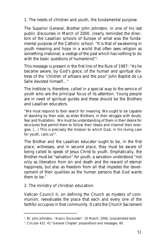#### **1. The needs of children and youth, the fundamental purpose.**

The Superior General, Brother John Johnston, in one of his last public discourses in March of 2000, clearly reminded the directors of the Lasallian schools of Europe of what was the fundamental purpose of the Catholic school: "It is that of awakening in youth meaning and hope in a world that often sees religion as something irrational, a vestige of the past which has nothing to do with the basic questions of humankind"<sup>3</sup>.

This message is present in the first line of the Rule of 1987: "As he became aware, by God's grace, of the human and spiritual distress of the 'children of artisans and the poor' John Baptist de La Salle devoted himself <sup>"</sup>

The Institute is, therefore, called in a special way to the service of youth who are the principal focus of its attention. Young people are in need of spiritual guides and these should be the Brothers and Lasallian educators.

"We must respond to their search for meaning. We ought to be capable of standing by their side, as elder Brothers, in their struggle with doubt, fear and frustration. We must be understanding of them in their desire for structures that permit them to follow their ideals and channel their energies. (…) This is precisely the mission to which God, in his loving care for youth, calls us"4 .

The Brother and the Lasallian educator ought to be, in the first place, witnesses, and in second place, they must be aware of being called to speak of Jesus Christ to youth. Emphatically, the Brother must be "salvation" for youth, a salvation understood "not only as liberation from sin and death and the reward of eternal happiness, but also as freedom from all that impedes the development of their qualities as the human persons that God wants them to be."

#### **2. The ministry of christian education.**

Vatican Council II, on defining the Church as mystery of communion, reevaluates the place that each and every one of the faithful occupies in that community. It calls the Church Sacrament

<sup>3</sup> . Br. John Johnston, "ASSEDIL Encounter", 10 March, 2000, (unpublished text).

<sup>&</sup>lt;sup>4</sup>. Circular 422. 41<sup>st</sup> General Chapter: propositions and messages, 40.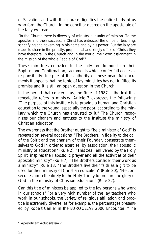of Salvation and with that phrase dignifies the entire body of us who form the Church. In the conciliar decree on the apostolate of the laity we read:

"In the Church there is diversity of ministry but unity of mission. To the apostles and their successors Christ has entrusted the office of teaching, sanctifying and governing in his name and by his power. But the laity are made to share in the priestly, prophetical and kingly office of Christ; they have therefore, in the Church and in the world, their own assignment in the mission of the whole People of God"5 .

These ministries entrusted to the laity are founded on their Baptism and Confirmation, sacraments which confer full ecclesial responsibility. In spite of the authority of these beautiful documents it appears that the topic of lay ministries has not fulfilled its promise and it is still an open question in the Church.

In the period that concerns us, the Rule of 1987 is the text that repeatedly refers to ministry. Article 3 expresses the following: "The purpose of this Institute is to provide a human and Christian education to the young, especially the poor, according to the ministry which the Church has entrusted to it." The Church recognizes our charism and entrusts to the Institute the ministry of Christian education.

The awareness that the Brother ought to "be a minister of God" is repeated on several occasions: "The Brothers, in fidelity to the call of the Spirit and the charism of their Founder, consecrate themselves to God in order to exercise, by association, their apostolic ministry of education" (Rule 2); "This zeal, enlivened by the Holy Spirit, inspires their apostolic prayer and all the activities of their apostolic ministry" (Rule 7); "The Brothers consider their work as a ministry" (Rule 13; "The Brothers live their faith as a gift to be used for their ministry of Christian education" (Rule 20); "He consecrates himself entirely to the Holy Trinity to procure the glory of God in the ministry of Christian education" (Rule 22).

Can this title of ministers be applied to the lay persons who work in our schools? For a very high number of the lay teachers who work in our schools, the variety of religious affiliation and practice is extremely diverse, as for example, the percentages presented by Robert Carlier in the EUROCELAS 2000 Encounter: "The

<sup>5</sup> . Apostolicam Actuositatem 2.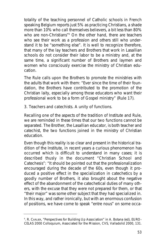totality of the teaching personnel of Catholic schools in French speaking Belgium reports just 5% as practicing Christians, a shade more than 10% who call themselves believers, a bit less than 80% who are non-Christians<sup>"6</sup> On the other hand, there are teachers who see their work as a profession and others still who understand it to be "something else". It is well to recognize therefore, that many of the lay teachers and Brothers that work in Lasallian schools do not consider their labor to be a ministry and, at the same time, a significant number of Brothers and laymen and women who consciously exercise the ministry of Christian education.

The Rule calls upon the Brothers to promote the ministries with the adults that work with them: "Ever since the time of their foundation, the Brothers have contributed to the promotion of the Christian laity, especially among those educators who want their professional work to be a form of Gospel ministry" (Rule 17).

#### **3. Teachers and catechists. A unity of functions.**

Recalling one of the aspects of the tradition of Institute and Rule, we are reminded in these times that our two functions cannot be separated. The Brother, the Lasallian educator, is both teacher and catechist, the two functions joined in the ministry of Christian education.

Even though this reality is so clear and present in the historical tradition of the Institute, in recent years a curious phenomenon has occurred which is difficult to understand in many cases; it is described thusly in the document "Christian School and Catechesis": "It should be pointed out that the professionalization encouraged during the decade of the 60s, even though it produced a positive effect in the specialization in catechetics by a goodly number of Brothers, it also brought about the negative effect of the abandonment of the catechetical duties of many others, with the excuse that they were not prepared for them, or that "their major" was some other subject that they had specialized in. In this way, and rather ironically, but with an enormous confusion of positions, we have come to speak "entre nous" on some occa-

<sup>6</sup> . R. CARLIER, "Perspectives for Building Up Association" in A. Botana (ed), EURO-CELAS 2000 Colloquium, Associated for the Mission, CVS, Valladolid 2000, 131.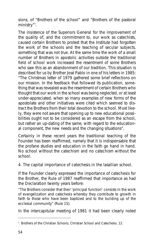sions, of "Brothers of the school" and "Brothers of the pastoral ministry"<sup>,</sup>

The insistence of the Superiors General for the improvement of the quality of, and the commitment to, our work as catechists, caused certain Brothers to protest that the Institute had forgotten the work of the schools and the teaching of secular subjects, something that was not true. At the same time the work of a small number of Brothers in apostolic activities outside the traditional field of school work increased the resentment of some Brothers who saw this as an abandonment of our tradition. This situation is described for us by Brother José Pablo in one of his letters in 1985: "The Christmas letter of 1979 gathered some brief reflections on our mission. In the *feedback* that followed its publication, something that was revealed was the resentment of certain Brothers who thought that our work in the school was being neglected, or at least under-appreciated, when so many examples of new forms of the apostolate and other initiatives were cited which seemed to distract the Brothers from their total devotion to the school. Most likely, they were not aware that opening up to new educational possibilities ought not to be considered as an escape from the school, but rather an up-dating of the same, with regard to the educational component, the new needs and the changing situations".

Certainly in these recent years the traditional teaching of the Founder has been reaffirmed, namely that it is indispensable that the profane studies and education in the faith go hand in hand. No school without the catechism and no catechism without the school.

#### **4. The capital importance of catechesis in the lasallian school.**

If the Founder clearly expressed the importance of catechesis for the Brother, the Rule of 1987 reaffirmed that importance as had the Declaration twenty years before:

"The Brothers consider that their 'principal function' consists in the work of evangelization and catechesis whereby they contribute to growth in faith to those who have been baptized and to the building up of the ecclesial community" (Rule 15).

In the intercapitular meeting of 1981 it had been clearly noted

<sup>7</sup> . Brothers of the Christian Schools, Christian School and Catechesis. 12.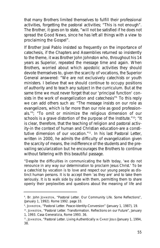that many Brothers limited themselves to fulfill their professional activities, forgetting the pastoral activities; "This is not enough". The Brother, it goes on to state, "will not be satisfied if he does not spread the Good News, since he has left all things with a view to proclaiming the Gospel".

If Brother José Pablo insisted so frequently on the importance of catechesis, if the Chapters and Assemblies returned so insistently to the theme, it was Brother John Johnston who, throughout his 14 years as Superior, repeated the message time and again. When Brothers, worried about which apostolic activities they should devote themselves to, given the scarcity of vocations, the Superior General answered: "We are not exclusively catechists or youth ministers. I believe that we should continue to occupy positions of authority and to teach any subject in the curriculum. But at the same time we must never forget that our 'principal function' consists in the work of evangelization and catechesis<sup>"8.</sup> To this reply we can add others such as: "The message insists on our role as evangelizers, which is far more than our role as good professionals."9 ; "To omit or minimize the religious dimension of our schools is a grave distortion of the purpose of the Institute."<sup>10</sup>; "It is clear, therefore, that the teaching of religion and pastoral activity-in the context of human and Christian education-are a constitutive dimension of our vocation."11. In his last Pastoral Letter, written in 2000, he admits the difficulty of evangelization given the scarcity of means, the indifference of the students and the prevailing secularization but he encourages the Brothers to continue without faltering with this beautiful passage.

"Despite the difficulties in communicating the faith today, 'we do not renounce in any way our determination to proclaim Jesus Christ.' To be a *catechist by vocation* is to love and respect our young people as distinct human persons. It is to accept them 'as they are' and to take them seriously. It is to walk side by side with them, permitting them to share openly their perplexities and questions about the meaning of life and

<sup>8</sup> . Br. John JOHNSTON, "Pastoral Letter. Our Community Life. Some Reflections", (January 1, 1992). Rome 1992. page 33.

<sup>9</sup> . JOHNSTON, "Pastoral Letter. Peace-Identity-Conversion" (January 1, 1987), 19.

<sup>&</sup>lt;sup>10</sup>. JOHNSTON, "Pastoral Letter. Transformation. Reflections on our Future", January 1, 1993. Casa Generalizia, Rome 1993. 36.

<sup>&</sup>lt;sup>11</sup>. JOHNSTON, "Pastoral Letter. Living Authentically IN CHRIST JESUS (January 1, 1994, 38.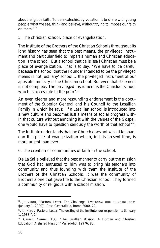about religious faith. To be a catechist by vocation is to share with young people what we see, think and believe, without trying to impose our faith on them  $<sup>n12</sup>$ </sup>

#### **5. The christian school, place of evangelization.**

The Institute of the Brothers of the Christian Schools throughout its long history has seen that the best means, the privileged instrument and particular field to impart a human and Christian education is the school But a school that calls itself Christian must be a place of evangelization. That is to say, "We have to be careful because the school that the Founder intended to be the privileged means is not just 'any' school… the privileged instrument of our apostolic ministry is the Christian school. But even that statement is not complete. The privileged instrument is the Christian school which is accessible to the poor".<sup>13</sup>

An even clearer and more resounding endorsement is the document of the Superior General and his Council to the Lasallian Family in which he says: "If a Lasallian school is introduced into a new culture and becomes just a means of social progress within that culture without enriching it with the values of the Gospel, one would have to question seriously the worth of that school"14.

The Institute understands that the Church does not wish it to abandon this place of evangelization which, in this present time, is more urgent than ever.

#### **6. The creation of communities of faith in the school.**

De La Salle believed that the best manner to carry out the mission that God had entrusted to him was to bring his teachers into community and thus founding with them the Institute of the Brothers of the Christian Schools. It was the community of Brothers alone that gave life to the Christian school. They formed a community of religious with a school mission.

<sup>&</sup>lt;sup>12</sup>. JOHNSTON, "Pastoral Letter. The Challenge. Live TODAY OUR FOUNDING STORY (January 1, 2000)". Casa Generalizia, Rome 2000, 72.

<sup>&</sup>lt;sup>13</sup>. JOHNSTON, Pastoral Letter. The destiny of the institute: our responsibility (January 1, 1988)", 24.

<sup>&</sup>lt;sup>14</sup>. GENERAL COUNCIL FSC, "The Lasallian Mission: A Human and Christian Education. A shared Mission" Valladolid, 19976, 83.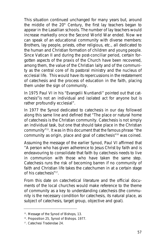This situation continued unchanged for many years but, around the middle of the  $20<sup>th</sup>$  Century, the first lay teachers began to appear in the Lasallian schools. The number of lay teachers would increase markedly once the Second World War ended. Now we can speak of an educational community with diverse members: Brothers, lay people, priests, other religious, etc., all dedicated to the human and Christian formation of children and young people. Since Vatican II and during the post-conciliar period, certain forgotten aspects of the praxis of the Church have been recovered, among them, the value of the Christian laity and of the community as the central core of its pastoral ministry and the nucleus of ecclesial life. This would have its repercussions in the restatement of catechesis and the process of education in the faith, placing them under the sign of community.

In 1975 Paul VI in his "Evangelii Nuntiandi" pointed out that catechesis"is not an individual and isolated act for anyone but is rather profoundly ecclesial".

In 1977 the Synod dedicated to catechesis in our day followed along this same line and defined that "The place or natural home of catechesis is the Christian community. Catechesis is not simply an individual task, but one that should take place in the Christian community"15. It was in this document that the famous phrase "the community as origin, place and goal of catechesis"16 was coined.

Assuming the message of the earlier Synod, Paul VI affirmed that "A person who has given adherence to Jesus Christ by faith and is endeavouring to consolidate that faith by catechesis needs to live in communion with those who have taken the same step. Catechesis runs the risk of becoming barren if no community of faith and Christian life takes the catechumen in at a certain stage of his catechesis"17.

From this date on catechetical literature and the official documents of the local churches would make reference to the theme of community as a key to understanding catechesis (the community is the necessary condition for catechesis, its natural place, as subject of catechesis, target group, objective and goal).

<sup>&</sup>lt;sup>15</sup>. Message of the Synod of Bishops, 13.

<sup>&</sup>lt;sup>16</sup>. Proposition 25, Synod of Bishops. 1977.

<sup>17.</sup> Catechesi Tradendae 24.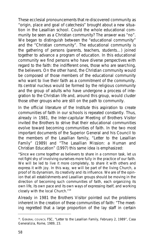These ecclesial pronouncements that re-discovered community as "origin, place and goal of catechesis" brought about a new situation in the Lasallian school. Could the whole educational community be seen as a Christian community? The answer was "no". We began to distinguish between the "educational community" and the "Christian community". The educational community is the gathering of persons (parents, teachers, students…) joined together to advance a program of education. In this educational community we find persons who have diverse perspectives with regard to the faith: the indifferent ones, those who are searching, the believers. On the other hand, the Christian community would be composed of those members of the educational community who want to live their faith as a commitment of the community. Its central nucleus would be formed by the religious community and the group of adults who have undergone a process of integration to the Christian life and, around this group, would cluster those other groups who are still on the path to community.

In the official literature of the Institute this aspiration to create communities of faith in our schools is repeated constantly. Thus, already in 1981, the Inter-capitular Meeting of Brothers Visitor invited the Brothers to strive that their educational communities evolve toward becoming communities of faith. In the two most important documents of the Superior General and his Council to the members of the Lasallian family, "Letter to the Lasallian Family" (1989) and "The Lasallian Mission: a Human and Christian Education" (1997) this same idea is emphasized:

"Since we come together as believers to share in a common task, let us not fight shy of involving ourselves more fully in the practice of our faith. We will be led to live it more completely, to share it with others and express it with joy. In this way, we will be part of the living Church, a proof of its dynamism, its creativity and its influence. We are of the opinion that all establishments and Lasallian groups should be moving in the direction of becoming such communities of faith, each organizing its own life, its own pace and its own ways of expressing itself, and working closely with the local Church."18

Already in 1981 the Brothers Visitor pointed out the problems inherent in the creation of these communities of faith: "The meeting regretted that a large proportion of the lay staff in certain

<sup>&</sup>lt;sup>18</sup>. GENERAL COUNCIL FSC, "Letter to the Lasallian Family, February 2, 1989", Casa Generalizia, Rome, 1989, 23.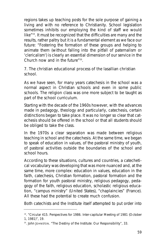regions takes up teaching posts for the sole purpose of gaining a living and with no reference to Christianity. School legislation sometimes inhibits our employing the kind of staff we would like"19. It must be recognized that the difficulties are many and the results, rather paltry but it is a fundamental element as we face our future: "Fostering the formation of these groups and helping to animate them (without falling into the pitfall of paternalism or 'clericalism') is clearly an essential dimension of our service in the Church now and in the future"20.

#### **7. The christian educational process of the lasallian christian school.**

As we have seen, for many years catechesis in the school was a normal aspect in Christian schools and even in some public schools. The religion class was one more subject to be taught as part of the school curriculum.

Starting with the decade of the 1960s however, with the advances made in pedagogy, theology and particularly, catechesis, certain distinctions began to take place. It was no longer so clear that catechesis should be offered in the school or that all students should be obliged to take the class.

In the 1970s a clear separation was made between religious teaching in school and the catechesis. At the same time, we began to speak of education in values, of the pastoral ministry of youth, of pastoral activities outside the boundaries of the school and school hours.

According to these situations, cultures and countries, a catechetical vocabulary was developing that was more nuanced and, at the same time, more complex: education in values, education in the faith, catechesis, Christian formation, pastoral formation and the formation for youth pastoral ministry, religious pedagogy, pedagogy of the faith, religious education, scholastic religious education, "campus ministry" (United States), "chaplaincies" (France). All these had the potential to create much confusion.

Both catechists and the Institute itself attempted to put order into

<sup>19. &</sup>quot;Circular 415. Perspectives for 1986. Inter-capitular Meeting of 1981 (October 1, 1981)", 19.

<sup>&</sup>lt;sup>20</sup>. John JOHNSTON. "The Destiny of the Institute: Our Responsibility", 33.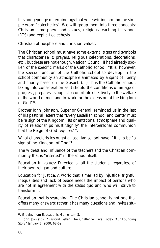this hodgepodge of terminology that was swirling around the simple word "catechetics". We will group them into three concepts: Christian atmosphere and values, religious teaching in school (RTS) and explicit catechesis.

#### **Christian atmosphere and christian values.**

The Christian school must have some external signs and symbols that characterize it: prayers, religious celebrations, decorations, etc., but these are not enough. Vatican Council II had already spoken of the specific marks of the Catholic school: "It is, however, the special function of the Catholic school to develop in the school community an atmosphere animated by a spirit of liberty and charity based on the Gospel. (…) Thus the Catholic school, taking into consideration as it should the conditions of an age of progress, prepares its pupils to contribute effectively to the welfare of the world of men and to work for the extension of the kingdom of God"21.

Brother John Johnston, Superior General, reminded us in the last of his pastoral letters that "Every Lasallian school and center must be 'a sign of the Kingdom.' Its orientations, atmosphere and quality of relationships must 'signify' the interpersonal communion that the Reign of God requires" $^{22}$ .

What characteristics ought a Lasallian school have if it is to be "a sign of the Kingdom of God"?

The *witness* and *influence* of the teachers and the Christian community that is "inserted" in the school itself.

*Education in values*: Directed at all the students, regardless of their own religon and culture.

*Education for justice*: A world that is marked by injustice, frightful inequalities and lack of peace needs the impact of persons who are not in agreement with the status quo and who will strive to transform it.

*Education that is searching*: The Christian school is not one that offers many answers; rather it has many questions and invites stu-

<sup>21.</sup> *Gravissimum Educationis Momentum* 8.

<sup>&</sup>lt;sup>22</sup>. John JOHNSTON. "Pastoral Letter. The Challenge: Live Today Our Founding Story" January 1, 2000, 68-69.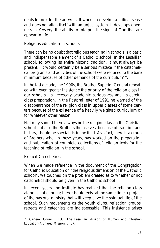dents to look for the answers. It works to develop a critical sense and does not align itself with an unjust system. It develops openness to Mystery, the ability to interpret the signs of God that are appear in life.

#### **Religious education in schools.**

There can be no doubt that religious teaching in schools is a basic and indispensable element of a Catholic school. In the Lasallian school, following its entire historic tradition, it must always be present: "It would certainly be a serious mistake if the catechetical programs and activities of the school were reduced to the bare minimum because of other demands of the curriculum<sup>"23</sup>.

In the last decade, the 1990s, the Brother Superior General repeated with even greater insistence the priority of the religion class in our schools, its necessary academic seriousness and its careful class preparation. In the Pastoral letter of 1991 he warned of the disappearance of the religion class in upper classes of some centers because of the existence of a heavily weighted curriculum or for whatever other reason.

Not only should there always be the religion class in the Christian school but also the Brothers themselves, because of tradition and history, should be specialists in the field. As a fact, there is a group of Brothers who, in these years, has worked on the preparation and publication of complete collections of religion texts for the teaching of religion in the school.

#### **Explicit Catechetics.**

When we made reference in the document of the Congregation for Catholic Education on "the religious dimension of the Catholic school", we touched on the problem created as to whether or not catechetics should be given in the Catholic school.

In recent years, the Institute has realized that the religion class alone is not enough; there should exist at the same time a project of the pastoral ministry that will keep alive the spiritual life of the school. Such movements as the youth clubs, reflection groups, retreats and catechists are indispensable. This insistence arises

<sup>&</sup>lt;sup>23</sup>. General Council, FSC, The Lasallian Mission of Human and Christian Education-A Shared Mission, p. 57.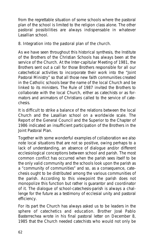from the regrettable situation of some schools where the pastoral plan of the school is limited to the religion class alone. The other pastoral possibilities are always indispensable in whatever Lasallian school.

#### **8. Integration into the pastoral plan of the church.**

As we have seen throughout this historical synthesis, the Institute of the Brothers of the Christian Schools has always been at the service of the Church. At the Inter-capitular Meeting of 1981, the Brothers sent out a call for those Brothers responsible for all our catechetical activities to incorporate their work into the "Joint Pastoral Ministry" so that all those new faith communities created in the Catholic schools bear the name of the local Church and be linked to its ministers. The Rule of 1987 invited the Brothers to collaborate with the local Church, either as catechists or as formators and animators of Christians called to the service of catechesis.

It is difficult to strike a balance of the relations between the local Church and the Lasallian school on a worldwide scale. The Report of the General Council and the Superior to the Chapter of 1986 indicated an insufficient participation of the Brothers in the Joint Pastoral Plan.

Together with some wonderful examples of collaboration we also note local situations that are not so positive, owing perhaps to a lack of understanding, an absence of dialogue and/or different ecclesiological conceptions between school and parish. The most common conflict has occurred when the parish sees itself to be the only valid community and the schools look upon the parish as a "community of communities" and so, as a consequence, catechesis ought to be distributed among the various communities of the parish. According to this viewpoint the parish does not monopolize this function but rather is guarantor and coordinator of it. The dialogue of school-catechesis-parish is always a challenge for the future as a testimony of ecclesial unity and pastoral efficiency.

For its part the Church has always asked us to be leaders in the sphere of catechetics and education. Brother José Pablo Basterrechea wrote in his final pastoral letter on December 8, 1985 that the Church needed catechists who would not only be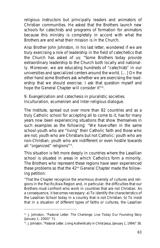religious instructors but principally leaders and animators of Christian communities. He asked that the Brothers launch new schools for catechists and programs of formation for animators because this ministry is completely in accord with what the Brothers are and what their mission is in the Church.

Also Brother John Johnston, in his last letter, wondered if we are truly exercising a role of leadership in the field of catechetics that the Church has asked of us: "Some Brothers today provide extraordinary leadership to the Church both locally and nationally. Moreover, we are educating hundreds of "catechists" in our universities and specialized centers around the world. […] On the other hand some Brothers ask whether we are exercising the leadership that we should exercise. I ask that question myself and hope the General Chapter will consider it<sup>"24</sup>.

#### **9. Evangelization and catechesis in pluralistic societies. Inculturation, ecumenism and Inter-religious dialogue.**

The Institute, spread out over more than 82 countries and as a truly Catholic school for accepting all to come to it, has for many years now been experiencing situations that show themselves in such examples as the following: "We have-often in the same school-youth who are "living" their Catholic faith and those who are not; youth who are Christians but not Catholic; youth who are non-Christian; youth who are indifferent or even hostile towards all "organized" religions"<sup>25</sup>.

This situation is felt more deeply in countries where the Lasallian school is situated in areas in which Catholics form a minority. The Brothers who represent these regions have seen experienced these problems so that the 42<sup>nd</sup> General Chapter made the following petition:

"That the Chapter recognize the enormous diversity of cultures and religions in the Pacific/Asia Region and, in particular, the difficulties that our Brothers must confront who work in countries that are not Christian. As a consequence, it becomes necessary: a) To identify the characteristics of the Lasallian School today in a country that is not Christian; b) To insist that in a situation of different types of faiths or cultures, the Lasallian

<sup>&</sup>lt;sup>24.</sup> J. Johnston, "Pastoral Letter. The Challenge: Live Today Our Founding Story (January 1, 2000)" 71.

<sup>&</sup>lt;sup>25</sup>. J. Johnston, "Pastoral Letter. Living Authentically In Christ Jesus, (January 1, 1994)" 38.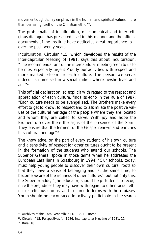movement ought to lay emphasis in the human and spiritual values, more than centering itself on the Christian ethic"<sup>26</sup>.

The problematic of inculturation, of ecumenical and inter-religious dialogue, has presented itself in this manner and the official documents of the Institute have dedicated great importance to it over the past twenty years.

Inculturation. Circular 415, which developed the results of the Inter-capitular Meeting of 1981, says this about inculturation: "The recommendations of the intercapitular meeting seem to us to be most especially urgent-Modify our activities with respect and more marked esteem for each culture. The person we serve, indeed, is immersed in a social milieu where he/she lives and acts"27.

This official declaration, so explicit with regard to the respect and appreciation of each culture, finds its echo in the Rule of 1987: "Each culture needs to be evangelized. The Brothers make every effort to get to know, to respect and to assimilate the positive values of the cultural heritage of the people where they are located and whom they are called to serve. With joy and hope the Brothers discover there the signs of the presence of the Spirit. They ensure that the ferment of the Gospel renews and enriches this cultural heritage"<sup>28</sup>.

The knowledge, on the part of every student, of his own culture and a sensitivity of respect for other cultures ought to be present in the formation of the students who attend our schools. The Superior General spoke in those terms when he addressed the European Lasallians in Strasbourg in 1994: "Our schools, today, must help young people to discover their own cultural roots so that they have a sense of belonging and, at the same time, to become aware of the richness of other cultures", but not only this, the Superior adds, "(the educator) should help students to recognize the prejudices they may have with regard to other racial, ethnic or religious groups, and to come to terms with those biases. Youth should be encouraged to actively participate in the search

<sup>26.</sup> Archives of the Casa Generalizia ED 308-11. Rome.

<sup>&</sup>lt;sup>27</sup>. Circular 415. Perspectives for 1986. Intercapitular Meeting of 1981. 11.

<sup>28.</sup> Rule. 18.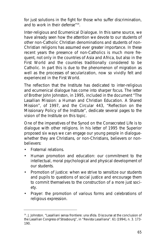for just solutions in the fight for those who suffer discrimination, and to work in their defense"29.

Inter-religious and Ecumenical Dialogue. In this same source, we have already seen how the attention we devote to our students of other non-Catholic Christian denominations and students of non-Christian religions has assumed ever greater importance. In these recent years the presence of non-Catholics is much more frequent, not only in the countries of Asia and Africa, but also in the First World and the countries traditionally considered to be Catholic. In part this is due to the phenomenon of migration as well as the processes of secularization, now so vividly felt and experienced in the First World.

The reflection that the Institute has dedicated to inter-religious and ecumenical dialogue has come into sharper focus. The letter of Brother John Johnston, in 1995, included in the document "The Lasallian Mission: a Human and Christian Education. A Shared Mission", of 1997, and the Circular 443, "Reflection on the Missionary Policy of the Institute", dedicate several pages to the vision of the Institute on this topic.

One of the imperatives of the Synod on the Consecrated Life is to dialogue with other religions. In his letter of 1995 the Superior proposed six ways we can engage our young people in dialoguewhether they are Christians, or non-Christians, believers or nonbelievers:

- *Fraternal relations.*
- *Human promotion and education*: our commitment to the intellectual, moral psychological and physical development of our students.
- *Promotion of justice*: when we strive to sensitize our students and pupils to questions of social justice and encourage them to commit themselves to the construction of a more just society.
- *Prayer*: the promotion of various forms and celebrations of religious expression.

<sup>29.</sup> J. Johnston. "Lasalliani sensa frontiere: una sfida. Discourse at the conclusion of the Lasallian Congress of Strasbourg", in "Revista Lasalliana". 61 (1994), n. 3. 173- 190.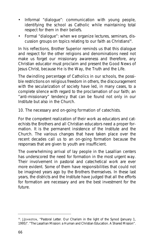- *Informal "dialogue"*: communication with young people, identifying the school as Catholic while maintaining total respect for them in their beliefs.
- *Formal "dialogue"*: when we organize lectures, seminars, discussion groups on topics relating to our faith as Christians<sup>30</sup>.

In his reflections, Brother Superior reminds us that this dialogue and respect for the other religions and denominations need not make us forget our missionary awareness and therefore, any Christian educator must proclaim and present the Good News of Jesus Christ, because He is the Way, the Truth and the Life.

The dwindling percentage of Catholics in our schools, the possible restrictions on religious freedom in others, the discouragement with the secularization of society have led, in many cases, to a complete silence with regard to the proclamation of our faith; an "anti-missionary" tendency that can be found not only in our Institute but also in the Church.

#### **10. The necessary and on-going formation of catechists.**

For the competent realization of their work as educators and catechists the Brothers and all Christian educators need a proper formation. It is the permanent insistence of the Institute and the Church. The various changes that have taken place over the recent decades call us to an on-going formation because the responses that are given to youth are insufficient.

The overwhelming arrival of lay people in the Lasallian centers has underscored the need for formation in the most urgent way. Their involvement in pastoral and catechetical work are ever more evident. Some of them have responsibilities that could not be imagined years ago by the Brothers themselves. In these last years, the districts and the Institute have judged that all the efforts for formation are necessary and are the best investment for the future.

<sup>&</sup>lt;sup>30</sup>. J.JOHNSTON, "Pastoral Letter. Our Charism in the light of the Synod (January 1, 1995)". "The Lasallian Mission: a Human and Christian Education. A Shared Mission".